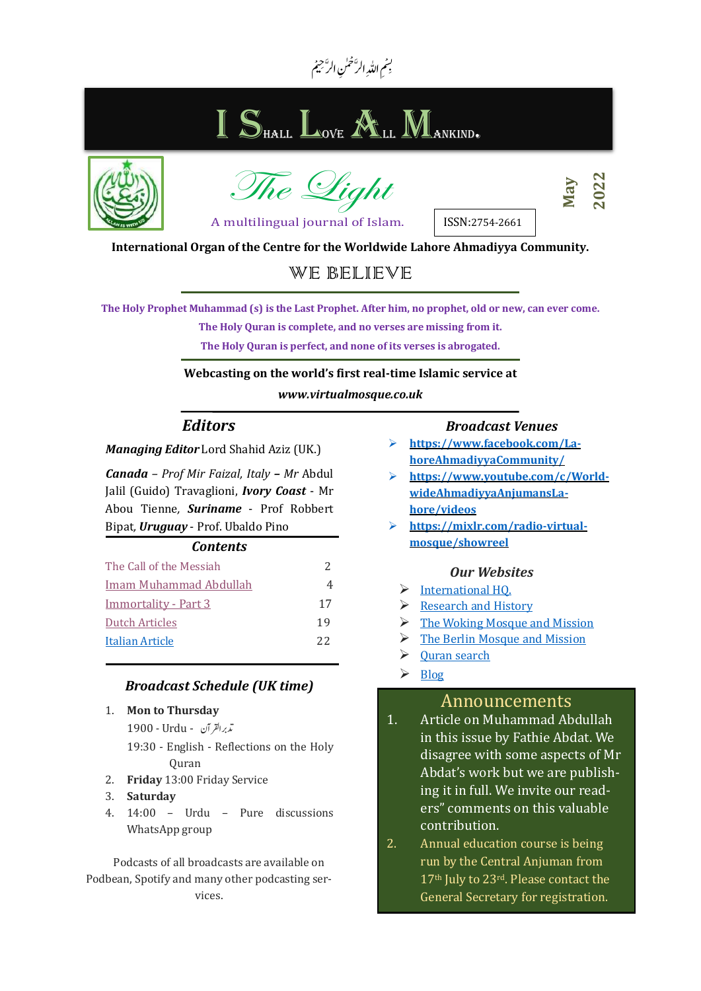#### س بِسْمِ اللّٰہِ الرَّحْمٰنِ الرَّحِيمُ ا<br>ام

# I S<sub>hall</sub> L<sub>ove</sub> All Mankind.





```
May
```
A multilingual journal of Islam.

ISSN:2754-2661

**2022** 

**International Organ of the Centre for the Worldwide Lahore Ahmadiyya Community.**

## WE BELIEVE

**The Holy Prophet Muhammad (s) is the Last Prophet. After him, no prophet, old or new, can ever come.** 

**The Holy Quran is complete, and no verses are missing from it.** 

**The Holy Quran is perfect, and none of its verses is abrogated.** 

#### **Webcasting on the world's first real-time Islamic service at**

*www.virtualmosque.co.uk*

### *Editors*

*Managing Editor* Lord Shahid Aziz (UK.)

*Canada – Prof Mir Faizal, Italy – Mr* Abdul Jalil (Guido) Travaglioni, *Ivory Coast* - Mr Abou Tienne*, Suriname* - Prof Robbert Bipat*, Uruguay* - Prof. Ubaldo Pino

#### *Contents*

<span id="page-0-0"></span>

| The Call of the Messiah     |    |
|-----------------------------|----|
| Imam Muhammad Abdullah      | 4  |
| <b>Immortality - Part 3</b> | 17 |
| Dutch Articles              | 19 |
| Italian Article             | 22 |
|                             |    |

#### *Broadcast Schedule (UK time)*

#### 1. **Mon to Thursday**

دترب ارقل آن - Urdu *-* 1900

- 19:30 English Reflections on the Holy Quran
- 2. **Friday** 13:00 Friday Service
- 3. **Saturday**
- 4. 14:00 Urdu Pure discussions WhatsApp group

Podcasts of all broadcasts are available on Podbean, Spotify and many other podcasting services.

#### *Broadcast Venues*

- ➢ **https://www.facebook.com/LahoreAhmadiyyaCommunity/**
- ➢ **[https://www.youtube.com/c/World](https://www.youtube.com/c/WorldwideAhmadiyyaAnjumansLahore/videos)[wideAhmadiyyaAnjumansLa](https://www.youtube.com/c/WorldwideAhmadiyyaAnjumansLahore/videos)[hore/videos](https://www.youtube.com/c/WorldwideAhmadiyyaAnjumansLahore/videos)**
- ➢ **https://mixlr.com/radio-virtualmosque/showreel**

#### *Our Websites*

- ➢ [International HQ.](http://aaiil.org/)
- ➢ [Research and History](http://ahmadiyya.org/)
- $\triangleright$  [The Woking Mosque and Mission](http://www.wokingmuslim.org/)
- $\triangleright$  [The Berlin Mosque and Mission](http://berlin.ahmadiyya.org/)
- ➢ [Quran search](http://www.ahmadiyya.org/english-quran/search/index.htm)
- $\triangleright$  [Blog](http://ahmadiyya.org/WordPress/)

#### Announcements

- 1. Article on Muhammad Abdullah in this issue by Fathie Abdat. We disagree with some aspects of Mr Abdat's work but we are publishing it in full. We invite our readers" comments on this valuable contribution.
- 2. Annual education course is being run by the Central Anjuman from 17th July to 23rd. Please contact the General Secretary for registration.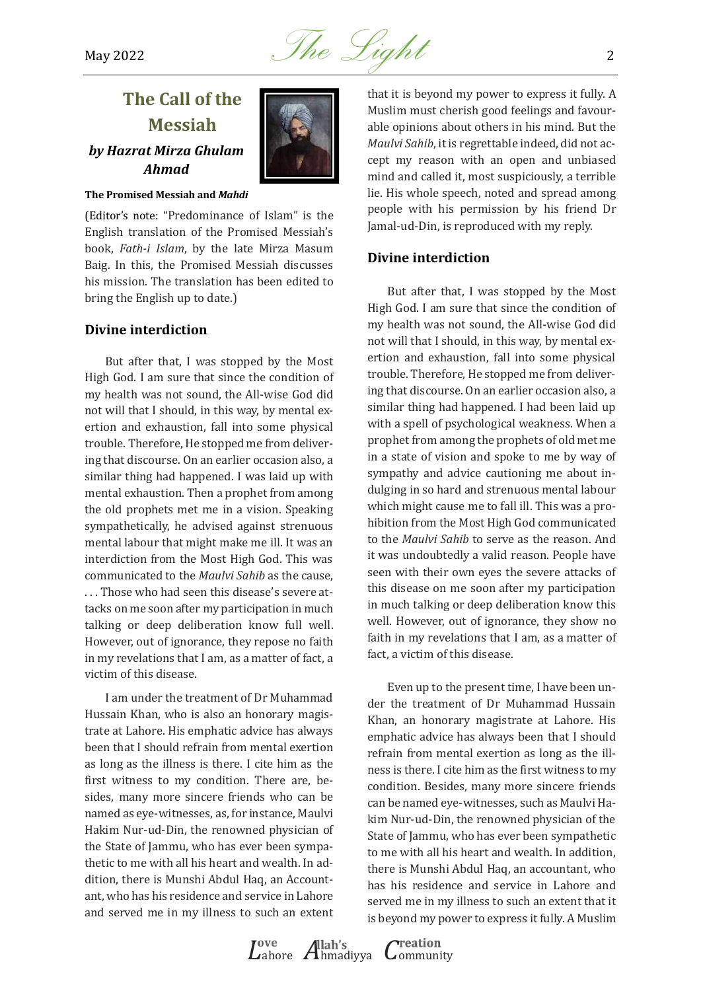

## <span id="page-1-0"></span>**The Call of the Messiah**  *by Hazrat Mirza Ghulam Ahmad*



#### **The Promised Messiah and** *Mahdi*

(Editor's note: "Predominance of Islam" is the English translation of the Promised Messiah's book, *Fath-i Islam*, by the late Mirza Masum Baig. In this, the Promised Messiah discusses his mission. The translation has been edited to bring the English up to date.)

#### **Divine interdiction**

But after that, I was stopped by the Most High God. I am sure that since the condition of my health was not sound, the All-wise God did not will that I should, in this way, by mental exertion and exhaustion, fall into some physical trouble. Therefore, He stopped me from delivering that discourse. On an earlier occasion also, a similar thing had happened. I was laid up with mental exhaustion. Then a prophet from among the old prophets met me in a vision. Speaking sympathetically, he advised against strenuous mental labour that might make me ill. It was an interdiction from the Most High God. This was communicated to the *Maulvi Sahib* as the cause, . . . Those who had seen this disease's severe attacks on me soon after my participation in much talking or deep deliberation know full well. However, out of ignorance, they repose no faith in my revelations that I am, as a matter of fact, a victim of this disease.

I am under the treatment of Dr Muhammad Hussain Khan, who is also an honorary magistrate at Lahore. His emphatic advice has always been that I should refrain from mental exertion as long as the illness is there. I cite him as the first witness to my condition. There are, besides, many more sincere friends who can be named as eye-witnesses, as, for instance, Maulvi Hakim Nur-ud-Din, the renowned physician of the State of Jammu, who has ever been sympathetic to me with all his heart and wealth. In addition, there is Munshi Abdul Haq, an Accountant, who has his residence and service in Lahore and served me in my illness to such an extent

that it is beyond my power to express it fully. A Muslim must cherish good feelings and favourable opinions about others in his mind. But the *Maulvi Sahib*, it is regrettable indeed, did not accept my reason with an open and unbiased mind and called it, most suspiciously, a terrible lie. His whole speech, noted and spread among people with his permission by his friend Dr Jamal-ud-Din, is reproduced with my reply.

#### **Divine interdiction**

But after that, I was stopped by the Most High God. I am sure that since the condition of my health was not sound, the All-wise God did not will that I should, in this way, by mental exertion and exhaustion, fall into some physical trouble. Therefore, He stopped me from delivering that discourse. On an earlier occasion also, a similar thing had happened. I had been laid up with a spell of psychological weakness. When a prophet from among the prophets of old met me in a state of vision and spoke to me by way of sympathy and advice cautioning me about indulging in so hard and strenuous mental labour which might cause me to fall ill. This was a prohibition from the Most High God communicated to the *Maulvi Sahib* to serve as the reason. And it was undoubtedly a valid reason. People have seen with their own eyes the severe attacks of this disease on me soon after my participation in much talking or deep deliberation know this well. However, out of ignorance, they show no faith in my revelations that I am, as a matter of fact, a victim of this disease.

Even up to the present time, I have been under the treatment of Dr Muhammad Hussain Khan, an honorary magistrate at Lahore. His emphatic advice has always been that I should refrain from mental exertion as long as the illness is there. I cite him as the first witness to my condition. Besides, many more sincere friends can be named eye-witnesses, such as Maulvi Hakim Nur-ud-Din, the renowned physician of the State of Jammu, who has ever been sympathetic to me with all his heart and wealth. In addition, there is Munshi Abdul Haq, an accountant, who has his residence and service in Lahore and served me in my illness to such an extent that it is beyond my power to express it fully. A Muslim

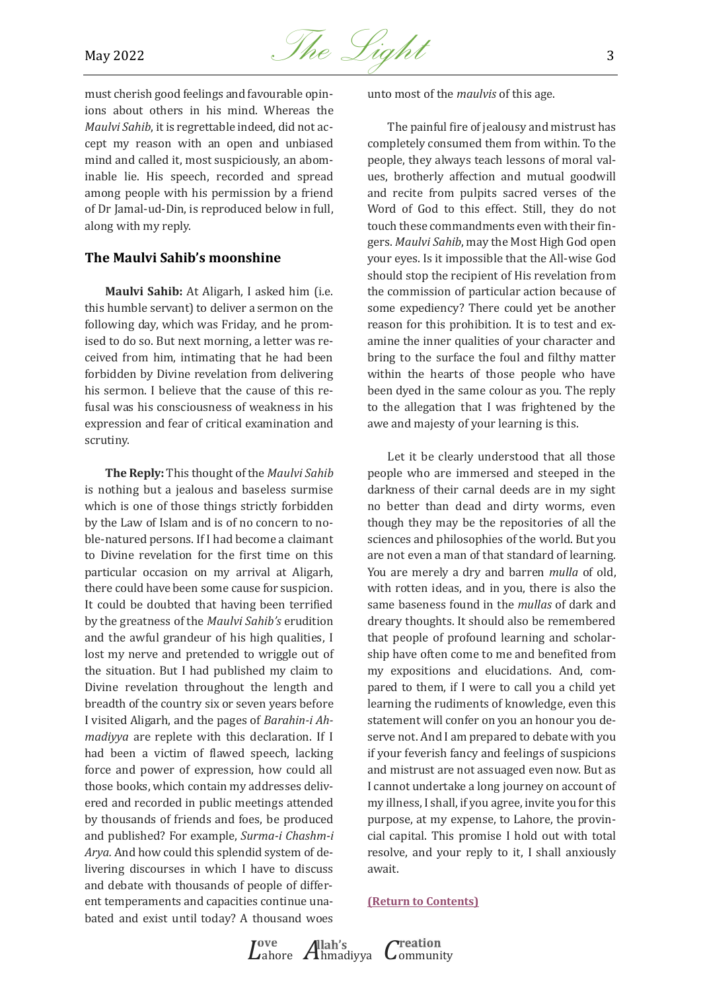

must cherish good feelings and favourable opinions about others in his mind. Whereas the *Maulvi Sahib*, it is regrettable indeed, did not accept my reason with an open and unbiased mind and called it, most suspiciously, an abominable lie. His speech, recorded and spread among people with his permission by a friend of Dr Jamal-ud-Din, is reproduced below in full, along with my reply.

#### **The Maulvi Sahib's moonshine**

**Maulvi Sahib:** At Aligarh, I asked him (i.e. this humble servant) to deliver a sermon on the following day, which was Friday, and he promised to do so. But next morning, a letter was received from him, intimating that he had been forbidden by Divine revelation from delivering his sermon. I believe that the cause of this refusal was his consciousness of weakness in his expression and fear of critical examination and scrutiny.

**The Reply:** This thought of the *Maulvi Sahib* is nothing but a jealous and baseless surmise which is one of those things strictly forbidden by the Law of Islam and is of no concern to noble-natured persons. If I had become a claimant to Divine revelation for the first time on this particular occasion on my arrival at Aligarh, there could have been some cause for suspicion. It could be doubted that having been terrified by the greatness of the *Maulvi Sahib's* erudition and the awful grandeur of his high qualities, I lost my nerve and pretended to wriggle out of the situation. But I had published my claim to Divine revelation throughout the length and breadth of the country six or seven years before I visited Aligarh, and the pages of *Barahin-i Ahmadiyya* are replete with this declaration. If I had been a victim of flawed speech, lacking force and power of expression, how could all those books, which contain my addresses delivered and recorded in public meetings attended by thousands of friends and foes, be produced and published? For example, *Surma-i Chashm-i Arya.* And how could this splendid system of delivering discourses in which I have to discuss and debate with thousands of people of different temperaments and capacities continue unabated and exist until today? A thousand woes

unto most of the *maulvis* of this age.

The painful fire of jealousy and mistrust has completely consumed them from within. To the people, they always teach lessons of moral values, brotherly affection and mutual goodwill and recite from pulpits sacred verses of the Word of God to this effect. Still, they do not touch these commandments even with their fingers. *Maulvi Sahib*, may the Most High God open your eyes. Is it impossible that the All-wise God should stop the recipient of His revelation from the commission of particular action because of some expediency? There could yet be another reason for this prohibition. It is to test and examine the inner qualities of your character and bring to the surface the foul and filthy matter within the hearts of those people who have been dyed in the same colour as you. The reply to the allegation that I was frightened by the awe and majesty of your learning is this.

Let it be clearly understood that all those people who are immersed and steeped in the darkness of their carnal deeds are in my sight no better than dead and dirty worms, even though they may be the repositories of all the sciences and philosophies of the world. But you are not even a man of that standard of learning. You are merely a dry and barren *mulla* of old, with rotten ideas, and in you, there is also the same baseness found in the *mullas* of dark and dreary thoughts. It should also be remembered that people of profound learning and scholarship have often come to me and benefited from my expositions and elucidations. And, compared to them, if I were to call you a child yet learning the rudiments of knowledge, even this statement will confer on you an honour you deserve not. And I am prepared to debate with you if your feverish fancy and feelings of suspicions and mistrust are not assuaged even now. But as I cannot undertake a long journey on account of my illness, I shall, if you agree, invite you for this purpose, at my expense, to Lahore, the provincial capital. This promise I hold out with total resolve, and your reply to it, I shall anxiously await.

#### **[\(Return to Contents\)](#page-0-0)**

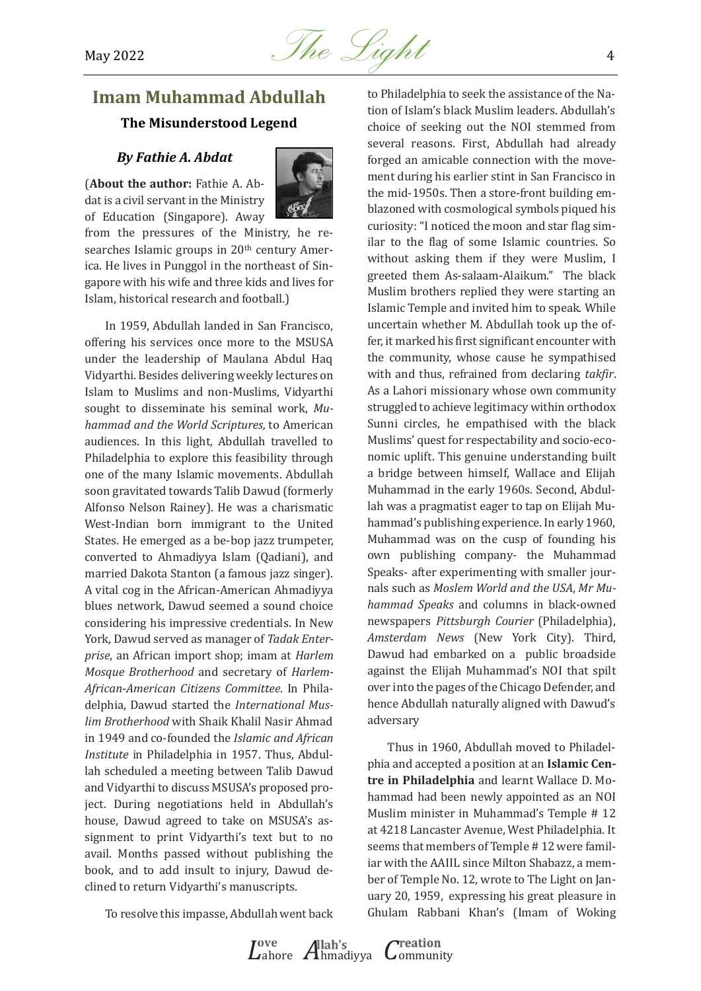

## <span id="page-3-0"></span>**Imam Muhammad Abdullah The Misunderstood Legend**

#### *By Fathie A. Abdat*

(**About the author:** Fathie A. Abdat is a civil servant in the Ministry of Education (Singapore). Away



from the pressures of the Ministry, he researches Islamic groups in 20<sup>th</sup> century America. He lives in Punggol in the northeast of Singapore with his wife and three kids and lives for Islam, historical research and football.)

In 1959, Abdullah landed in San Francisco, offering his services once more to the MSUSA under the leadership of Maulana Abdul Haq Vidyarthi. Besides delivering weekly lectures on Islam to Muslims and non-Muslims, Vidyarthi sought to disseminate his seminal work, *Muhammad and the World Scriptures,* to American audiences. In this light, Abdullah travelled to Philadelphia to explore this feasibility through one of the many Islamic movements. Abdullah soon gravitated towards Talib Dawud (formerly Alfonso Nelson Rainey). He was a charismatic West-Indian born immigrant to the United States. He emerged as a be-bop jazz trumpeter, converted to Ahmadiyya Islam (Qadiani), and married Dakota Stanton (a famous jazz singer). A vital cog in the African-American Ahmadiyya blues network, Dawud seemed a sound choice considering his impressive credentials. In New York, Dawud served as manager of *Tadak Enterprise*, an African import shop; imam at *Harlem Mosque Brotherhood* and secretary of *Harlem-African-American Citizens Committee*. In Philadelphia, Dawud started the *International Muslim Brotherhood* with Shaik Khalil Nasir Ahmad in 1949 and co-founded the *Islamic and African Institute* in Philadelphia in 1957. Thus, Abdullah scheduled a meeting between Talib Dawud and Vidyarthi to discuss MSUSA's proposed project. During negotiations held in Abdullah's house, Dawud agreed to take on MSUSA's assignment to print Vidyarthi's text but to no avail. Months passed without publishing the book, and to add insult to injury, Dawud declined to return Vidyarthi's manuscripts.

to Philadelphia to seek the assistance of the Nation of Islam's black Muslim leaders. Abdullah's choice of seeking out the NOI stemmed from several reasons. First, Abdullah had already forged an amicable connection with the movement during his earlier stint in San Francisco in the mid-1950s. Then a store-front building emblazoned with cosmological symbols piqued his curiosity: "I noticed the moon and star flag similar to the flag of some Islamic countries. So without asking them if they were Muslim, I greeted them As-salaam-Alaikum." The black Muslim brothers replied they were starting an Islamic Temple and invited him to speak. While uncertain whether M. Abdullah took up the offer, it marked his first significant encounter with the community, whose cause he sympathised with and thus, refrained from declaring *takfir*. As a Lahori missionary whose own community struggled to achieve legitimacy within orthodox Sunni circles, he empathised with the black Muslims' quest for respectability and socio-economic uplift. This genuine understanding built a bridge between himself, Wallace and Elijah Muhammad in the early 1960s. Second, Abdullah was a pragmatist eager to tap on Elijah Muhammad's publishing experience. In early 1960, Muhammad was on the cusp of founding his own publishing company- the Muhammad Speaks- after experimenting with smaller journals such as *Moslem World and the USA*, *Mr Muhammad Speaks* and columns in black-owned newspapers *Pittsburgh Courier* (Philadelphia), *Amsterdam News* (New York City). Third, Dawud had embarked on a public broadside against the Elijah Muhammad's NOI that spilt over into the pages of the Chicago Defender, and hence Abdullah naturally aligned with Dawud's adversary

Thus in 1960, Abdullah moved to Philadelphia and accepted a position at an **Islamic Centre in Philadelphia** and learnt Wallace D. Mohammad had been newly appointed as an NOI Muslim minister in Muhammad's Temple # 12 at 4218 Lancaster Avenue, West Philadelphia. It seems that members of Temple # 12 were familiar with the AAIIL since Milton Shabazz, a member of Temple No. 12, wrote to The Light on January 20, 1959, expressing his great pleasure in Ghulam Rabbani Khan's (Imam of Woking

To resolve this impasse, Abdullah went back

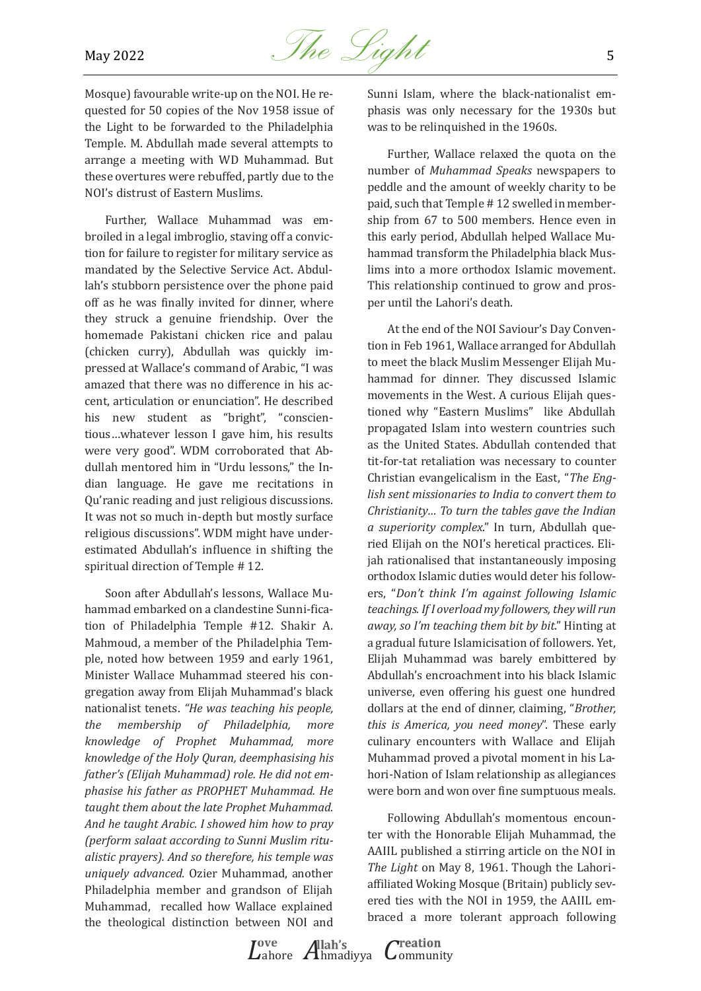

Mosque) favourable write-up on the NOI. He requested for 50 copies of the Nov 1958 issue of the Light to be forwarded to the Philadelphia Temple. M. Abdullah made several attempts to arrange a meeting with WD Muhammad. But these overtures were rebuffed, partly due to the NOI's distrust of Eastern Muslims.

Further, Wallace Muhammad was embroiled in a legal imbroglio, staving off a conviction for failure to register for military service as mandated by the Selective Service Act. Abdullah's stubborn persistence over the phone paid off as he was finally invited for dinner, where they struck a genuine friendship. Over the homemade Pakistani chicken rice and palau (chicken curry), Abdullah was quickly impressed at Wallace's command of Arabic, "I was amazed that there was no difference in his accent, articulation or enunciation". He described his new student as "bright", "conscientious…whatever lesson I gave him, his results were very good". WDM corroborated that Abdullah mentored him in "Urdu lessons," the Indian language. He gave me recitations in Qu'ranic reading and just religious discussions. It was not so much in-depth but mostly surface religious discussions". WDM might have underestimated Abdullah's influence in shifting the spiritual direction of Temple # 12.

Soon after Abdullah's lessons, Wallace Muhammad embarked on a clandestine Sunni-fication of Philadelphia Temple #12. Shakir A. Mahmoud, a member of the Philadelphia Temple, noted how between 1959 and early 1961, Minister Wallace Muhammad steered his congregation away from Elijah Muhammad's black nationalist tenets. *"He was teaching his people, the membership of Philadelphia, more knowledge of Prophet Muhammad, more knowledge of the Holy Quran, deemphasising his father's (Elijah Muhammad) role. He did not emphasise his father as PROPHET Muhammad. He taught them about the late Prophet Muhammad. And he taught Arabic. I showed him how to pray (perform salaat according to Sunni Muslim ritualistic prayers). And so therefore, his temple was uniquely advanced.* Ozier Muhammad, another Philadelphia member and grandson of Elijah Muhammad, recalled how Wallace explained the theological distinction between NOI and Sunni Islam, where the black-nationalist emphasis was only necessary for the 1930s but was to be relinquished in the 1960s.

Further, Wallace relaxed the quota on the number of *Muhammad Speaks* newspapers to peddle and the amount of weekly charity to be paid, such that Temple # 12 swelled in membership from 67 to 500 members. Hence even in this early period, Abdullah helped Wallace Muhammad transform the Philadelphia black Muslims into a more orthodox Islamic movement. This relationship continued to grow and prosper until the Lahori's death.

At the end of the NOI Saviour's Day Convention in Feb 1961, Wallace arranged for Abdullah to meet the black Muslim Messenger Elijah Muhammad for dinner. They discussed Islamic movements in the West. A curious Elijah questioned why "Eastern Muslims" like Abdullah propagated Islam into western countries such as the United States. Abdullah contended that tit-for-tat retaliation was necessary to counter Christian evangelicalism in the East, "*The English sent missionaries to India to convert them to Christianity… To turn the tables gave the Indian a superiority complex*." In turn, Abdullah queried Elijah on the NOI's heretical practices. Elijah rationalised that instantaneously imposing orthodox Islamic duties would deter his followers, "*Don't think I'm against following Islamic teachings. If I overload my followers, they will run away, so I'm teaching them bit by bit*." Hinting at a gradual future Islamicisation of followers. Yet, Elijah Muhammad was barely embittered by Abdullah's encroachment into his black Islamic universe, even offering his guest one hundred dollars at the end of dinner, claiming, "*Brother, this is America, you need money*". These early culinary encounters with Wallace and Elijah Muhammad proved a pivotal moment in his Lahori-Nation of Islam relationship as allegiances were born and won over fine sumptuous meals.

Following Abdullah's momentous encounter with the Honorable Elijah Muhammad, the AAIIL published a stirring article on the NOI in *The Light* on May 8, 1961. Though the Lahoriaffiliated Woking Mosque (Britain) publicly severed ties with the NOI in 1959, the AAIIL embraced a more tolerant approach following

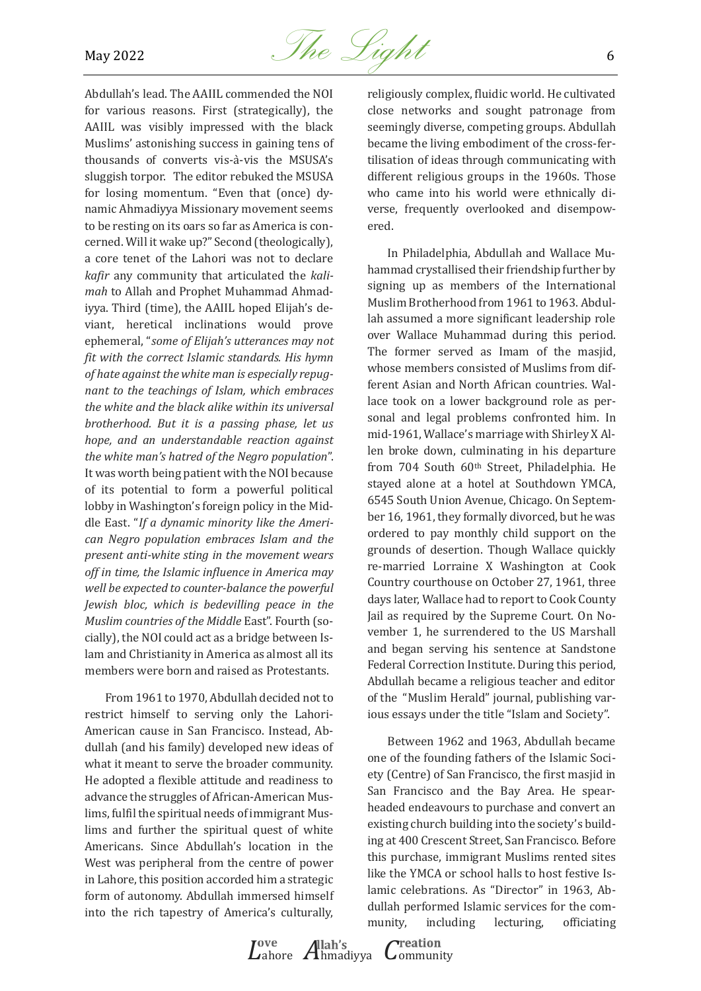

Abdullah's lead. The AAIIL commended the NOI for various reasons. First (strategically), the AAIIL was visibly impressed with the black Muslims' astonishing success in gaining tens of thousands of converts vis-à-vis the MSUSA's sluggish torpor. The editor rebuked the MSUSA for losing momentum. "Even that (once) dynamic Ahmadiyya Missionary movement seems to be resting on its oars so far as America is concerned. Will it wake up?" Second (theologically), a core tenet of the Lahori was not to declare *kafir* any community that articulated the *kalimah* to Allah and Prophet Muhammad Ahmadiyya. Third (time), the AAIIL hoped Elijah's deviant, heretical inclinations would prove ephemeral, "*some of Elijah's utterances may not fit with the correct Islamic standards. His hymn of hate against the white man is especially repugnant to the teachings of Islam, which embraces the white and the black alike within its universal brotherhood. But it is a passing phase, let us hope, and an understandable reaction against the white man's hatred of the Negro population*". It was worth being patient with the NOI because of its potential to form a powerful political lobby in Washington's foreign policy in the Middle East. "*If a dynamic minority like the American Negro population embraces Islam and the present anti-white sting in the movement wears off in time, the Islamic influence in America may well be expected to counter-balance the powerful Jewish bloc, which is bedevilling peace in the Muslim countries of the Middle* East". Fourth (socially), the NOI could act as a bridge between Islam and Christianity in America as almost all its members were born and raised as Protestants.

From 1961 to 1970, Abdullah decided not to restrict himself to serving only the Lahori-American cause in San Francisco. Instead, Abdullah (and his family) developed new ideas of what it meant to serve the broader community. He adopted a flexible attitude and readiness to advance the struggles of African-American Muslims, fulfil the spiritual needs of immigrant Muslims and further the spiritual quest of white Americans. Since Abdullah's location in the West was peripheral from the centre of power in Lahore, this position accorded him a strategic form of autonomy. Abdullah immersed himself into the rich tapestry of America's culturally,

religiously complex, fluidic world. He cultivated close networks and sought patronage from seemingly diverse, competing groups. Abdullah became the living embodiment of the cross-fertilisation of ideas through communicating with different religious groups in the 1960s. Those who came into his world were ethnically diverse, frequently overlooked and disempowered.

In Philadelphia, Abdullah and Wallace Muhammad crystallised their friendship further by signing up as members of the International Muslim Brotherhood from 1961 to 1963. Abdullah assumed a more significant leadership role over Wallace Muhammad during this period. The former served as Imam of the masjid, whose members consisted of Muslims from different Asian and North African countries. Wallace took on a lower background role as personal and legal problems confronted him. In mid-1961, Wallace's marriage with Shirley X Allen broke down, culminating in his departure from 704 South 60th Street, Philadelphia. He stayed alone at a hotel at Southdown YMCA, 6545 South Union Avenue, Chicago. On September 16, 1961, they formally divorced, but he was ordered to pay monthly child support on the grounds of desertion. Though Wallace quickly re-married Lorraine X Washington at Cook Country courthouse on October 27, 1961, three days later, Wallace had to report to Cook County Jail as required by the Supreme Court. On November 1, he surrendered to the US Marshall and began serving his sentence at Sandstone Federal Correction Institute. During this period, Abdullah became a religious teacher and editor of the "Muslim Herald" journal, publishing various essays under the title "Islam and Society".

Between 1962 and 1963, Abdullah became one of the founding fathers of the Islamic Society (Centre) of San Francisco, the first masjid in San Francisco and the Bay Area. He spearheaded endeavours to purchase and convert an existing church building into the society's building at 400 Crescent Street, San Francisco. Before this purchase, immigrant Muslims rented sites like the YMCA or school halls to host festive Islamic celebrations. As "Director" in 1963, Abdullah performed Islamic services for the community, including lecturing, officiating

*L*ahore *A*hmadiyya *C*ommunity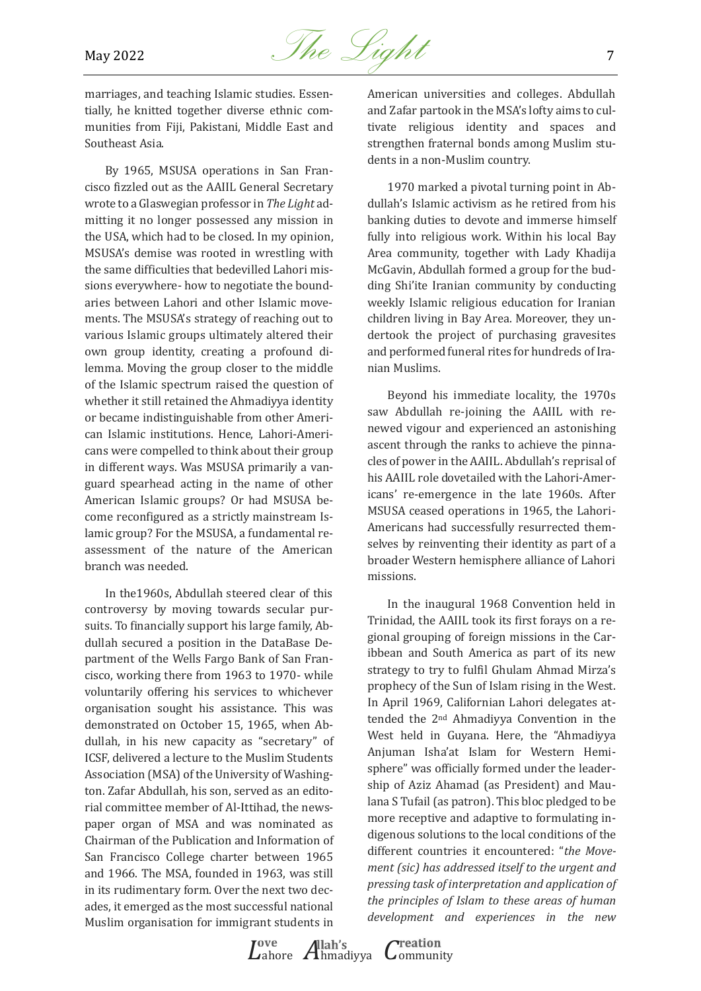

marriages, and teaching Islamic studies. Essentially, he knitted together diverse ethnic communities from Fiji, Pakistani, Middle East and Southeast Asia.

By 1965, MSUSA operations in San Francisco fizzled out as the AAIIL General Secretary wrote to a Glaswegian professor in *The Light* admitting it no longer possessed any mission in the USA, which had to be closed. In my opinion, MSUSA's demise was rooted in wrestling with the same difficulties that bedevilled Lahori missions everywhere- how to negotiate the boundaries between Lahori and other Islamic movements. The MSUSA's strategy of reaching out to various Islamic groups ultimately altered their own group identity, creating a profound dilemma. Moving the group closer to the middle of the Islamic spectrum raised the question of whether it still retained the Ahmadiyya identity or became indistinguishable from other American Islamic institutions. Hence, Lahori-Americans were compelled to think about their group in different ways. Was MSUSA primarily a vanguard spearhead acting in the name of other American Islamic groups? Or had MSUSA become reconfigured as a strictly mainstream Islamic group? For the MSUSA, a fundamental reassessment of the nature of the American branch was needed.

In the1960s, Abdullah steered clear of this controversy by moving towards secular pursuits. To financially support his large family, Abdullah secured a position in the DataBase Department of the Wells Fargo Bank of San Francisco, working there from 1963 to 1970- while voluntarily offering his services to whichever organisation sought his assistance. This was demonstrated on October 15, 1965, when Abdullah, in his new capacity as "secretary" of ICSF, delivered a lecture to the Muslim Students Association (MSA) of the University of Washington. Zafar Abdullah, his son, served as an editorial committee member of Al-Ittihad, the newspaper organ of MSA and was nominated as Chairman of the Publication and Information of San Francisco College charter between 1965 and 1966. The MSA, founded in 1963, was still in its rudimentary form. Over the next two decades, it emerged as the most successful national Muslim organisation for immigrant students in American universities and colleges. Abdullah and Zafar partook in the MSA's lofty aims to cultivate religious identity and spaces and strengthen fraternal bonds among Muslim students in a non-Muslim country.

1970 marked a pivotal turning point in Abdullah's Islamic activism as he retired from his banking duties to devote and immerse himself fully into religious work. Within his local Bay Area community, together with Lady Khadija McGavin, Abdullah formed a group for the budding Shi'ite Iranian community by conducting weekly Islamic religious education for Iranian children living in Bay Area. Moreover, they undertook the project of purchasing gravesites and performed funeral rites for hundreds of Iranian Muslims.

Beyond his immediate locality, the 1970s saw Abdullah re-joining the AAIIL with renewed vigour and experienced an astonishing ascent through the ranks to achieve the pinnacles of power in the AAIIL. Abdullah's reprisal of his AAIIL role dovetailed with the Lahori-Americans' re-emergence in the late 1960s. After MSUSA ceased operations in 1965, the Lahori-Americans had successfully resurrected themselves by reinventing their identity as part of a broader Western hemisphere alliance of Lahori missions.

In the inaugural 1968 Convention held in Trinidad, the AAIIL took its first forays on a regional grouping of foreign missions in the Caribbean and South America as part of its new strategy to try to fulfil Ghulam Ahmad Mirza's prophecy of the Sun of Islam rising in the West. In April 1969, Californian Lahori delegates attended the 2nd Ahmadiyya Convention in the West held in Guyana. Here, the "Ahmadiyya Anjuman Isha'at Islam for Western Hemisphere" was officially formed under the leadership of Aziz Ahamad (as President) and Maulana S Tufail (as patron). This bloc pledged to be more receptive and adaptive to formulating indigenous solutions to the local conditions of the different countries it encountered: "*the Movement (sic) has addressed itself to the urgent and pressing task of interpretation and application of the principles of Islam to these areas of human development and experiences in the new* 

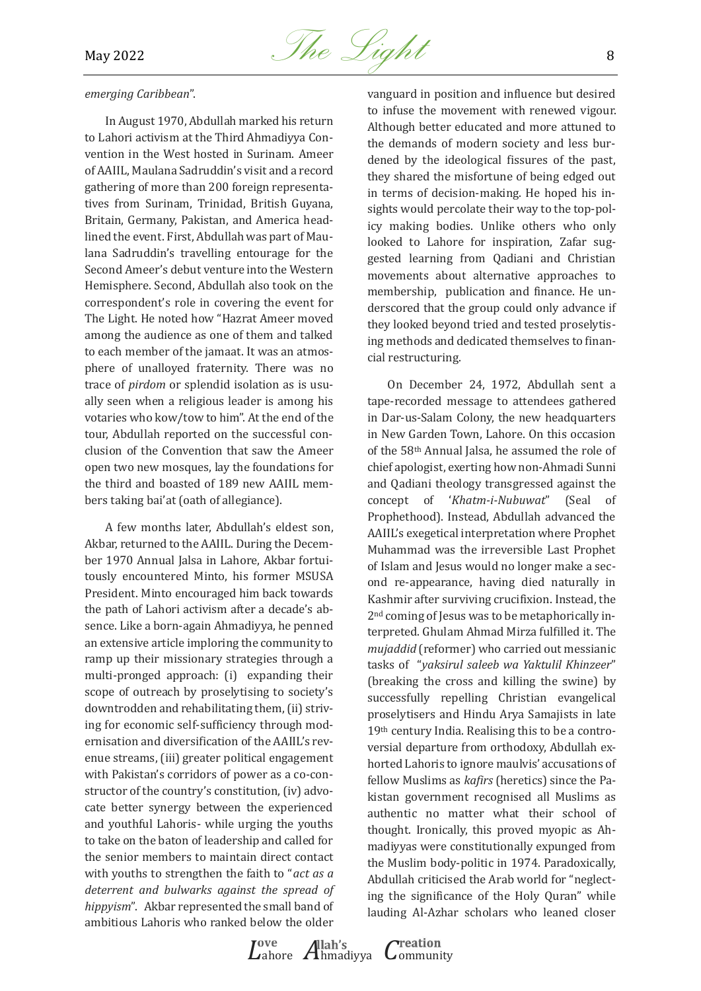

#### *emerging Caribbean*".

In August 1970, Abdullah marked his return to Lahori activism at the Third Ahmadiyya Convention in the West hosted in Surinam. Ameer of AAIIL, Maulana Sadruddin's visit and a record gathering of more than 200 foreign representatives from Surinam, Trinidad, British Guyana, Britain, Germany, Pakistan, and America headlined the event. First, Abdullah was part of Maulana Sadruddin's travelling entourage for the Second Ameer's debut venture into the Western Hemisphere. Second, Abdullah also took on the correspondent's role in covering the event for The Light. He noted how "Hazrat Ameer moved among the audience as one of them and talked to each member of the jamaat. It was an atmosphere of unalloyed fraternity. There was no trace of *pirdom* or splendid isolation as is usually seen when a religious leader is among his votaries who kow/tow to him". At the end of the tour, Abdullah reported on the successful conclusion of the Convention that saw the Ameer open two new mosques, lay the foundations for the third and boasted of 189 new AAIIL members taking bai'at (oath of allegiance).

A few months later, Abdullah's eldest son, Akbar, returned to the AAIIL. During the December 1970 Annual Jalsa in Lahore, Akbar fortuitously encountered Minto, his former MSUSA President. Minto encouraged him back towards the path of Lahori activism after a decade's absence. Like a born-again Ahmadiyya, he penned an extensive article imploring the community to ramp up their missionary strategies through a multi-pronged approach: (i) expanding their scope of outreach by proselytising to society's downtrodden and rehabilitating them, (ii) striving for economic self-sufficiency through modernisation and diversification of the AAIIL's revenue streams, (iii) greater political engagement with Pakistan's corridors of power as a co-constructor of the country's constitution, (iv) advocate better synergy between the experienced and youthful Lahoris- while urging the youths to take on the baton of leadership and called for the senior members to maintain direct contact with youths to strengthen the faith to "*act as a deterrent and bulwarks against the spread of hippyism*". Akbar represented the small band of ambitious Lahoris who ranked below the older

vanguard in position and influence but desired to infuse the movement with renewed vigour. Although better educated and more attuned to the demands of modern society and less burdened by the ideological fissures of the past, they shared the misfortune of being edged out in terms of decision-making. He hoped his insights would percolate their way to the top-policy making bodies. Unlike others who only looked to Lahore for inspiration, Zafar suggested learning from Qadiani and Christian movements about alternative approaches to membership, publication and finance. He underscored that the group could only advance if they looked beyond tried and tested proselytising methods and dedicated themselves to financial restructuring.

On December 24, 1972, Abdullah sent a tape-recorded message to attendees gathered in Dar-us-Salam Colony, the new headquarters in New Garden Town, Lahore. On this occasion of the 58th Annual Jalsa, he assumed the role of chief apologist, exerting how non-Ahmadi Sunni and Qadiani theology transgressed against the concept of '*Khatm-i-Nubuwat*" (Seal of Prophethood). Instead, Abdullah advanced the AAIIL's exegetical interpretation where Prophet Muhammad was the irreversible Last Prophet of Islam and Jesus would no longer make a second re-appearance, having died naturally in Kashmir after surviving crucifixion. Instead, the 2nd coming of Jesus was to be metaphorically interpreted. Ghulam Ahmad Mirza fulfilled it. The *mujaddid* (reformer) who carried out messianic tasks of "*yaksirul saleeb wa Yaktulil Khinzeer*" (breaking the cross and killing the swine) by successfully repelling Christian evangelical proselytisers and Hindu Arya Samajists in late 19th century India. Realising this to be a controversial departure from orthodoxy, Abdullah exhorted Lahoris to ignore maulvis' accusations of fellow Muslims as *kafirs* (heretics) since the Pakistan government recognised all Muslims as authentic no matter what their school of thought. Ironically, this proved myopic as Ahmadiyyas were constitutionally expunged from the Muslim body-politic in 1974. Paradoxically, Abdullah criticised the Arab world for "neglecting the significance of the Holy Quran" while lauding Al-Azhar scholars who leaned closer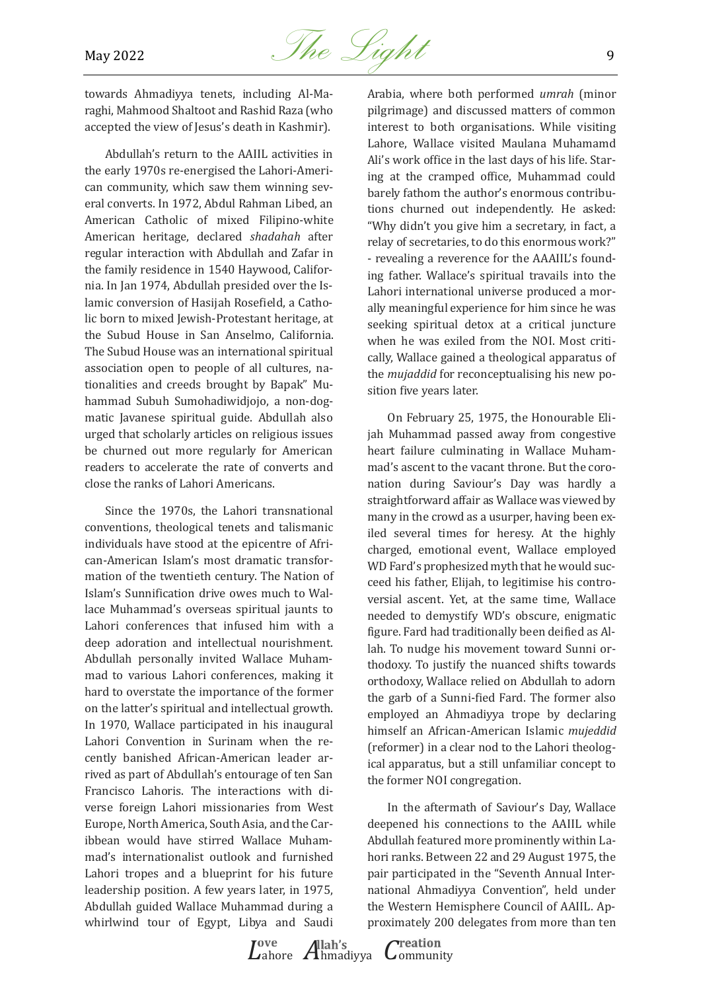

towards Ahmadiyya tenets, including Al-Maraghi, Mahmood Shaltoot and Rashid Raza (who accepted the view of Jesus's death in Kashmir).

Abdullah's return to the AAIIL activities in the early 1970s re-energised the Lahori-American community, which saw them winning several converts. In 1972, Abdul Rahman Libed, an American Catholic of mixed Filipino-white American heritage, declared *shadahah* after regular interaction with Abdullah and Zafar in the family residence in 1540 Haywood, California. In Jan 1974, Abdullah presided over the Islamic conversion of Hasijah Rosefield, a Catholic born to mixed Jewish-Protestant heritage, at the Subud House in San Anselmo, California. The Subud House was an international spiritual association open to people of all cultures, nationalities and creeds brought by Bapak" Muhammad Subuh Sumohadiwidjojo, a non-dogmatic Javanese spiritual guide. Abdullah also urged that scholarly articles on religious issues be churned out more regularly for American readers to accelerate the rate of converts and close the ranks of Lahori Americans.

Since the 1970s, the Lahori transnational conventions, theological tenets and talismanic individuals have stood at the epicentre of African-American Islam's most dramatic transformation of the twentieth century. The Nation of Islam's Sunnification drive owes much to Wallace Muhammad's overseas spiritual jaunts to Lahori conferences that infused him with a deep adoration and intellectual nourishment. Abdullah personally invited Wallace Muhammad to various Lahori conferences, making it hard to overstate the importance of the former on the latter's spiritual and intellectual growth. In 1970, Wallace participated in his inaugural Lahori Convention in Surinam when the recently banished African-American leader arrived as part of Abdullah's entourage of ten San Francisco Lahoris. The interactions with diverse foreign Lahori missionaries from West Europe, North America, South Asia, and the Caribbean would have stirred Wallace Muhammad's internationalist outlook and furnished Lahori tropes and a blueprint for his future leadership position. A few years later, in 1975, Abdullah guided Wallace Muhammad during a whirlwind tour of Egypt, Libya and Saudi

Arabia, where both performed *umrah* (minor pilgrimage) and discussed matters of common interest to both organisations. While visiting Lahore, Wallace visited Maulana Muhamamd Ali's work office in the last days of his life. Staring at the cramped office, Muhammad could barely fathom the author's enormous contributions churned out independently. He asked: "Why didn't you give him a secretary, in fact, a relay of secretaries, to do this enormous work?" - revealing a reverence for the AAAIIL's founding father. Wallace's spiritual travails into the Lahori international universe produced a morally meaningful experience for him since he was seeking spiritual detox at a critical juncture when he was exiled from the NOI. Most critically, Wallace gained a theological apparatus of the *mujaddid* for reconceptualising his new position five years later.

On February 25, 1975, the Honourable Elijah Muhammad passed away from congestive heart failure culminating in Wallace Muhammad's ascent to the vacant throne. But the coronation during Saviour's Day was hardly a straightforward affair as Wallace was viewed by many in the crowd as a usurper, having been exiled several times for heresy. At the highly charged, emotional event, Wallace employed WD Fard's prophesized myth that he would succeed his father, Elijah, to legitimise his controversial ascent. Yet, at the same time, Wallace needed to demystify WD's obscure, enigmatic figure. Fard had traditionally been deified as Allah. To nudge his movement toward Sunni orthodoxy. To justify the nuanced shifts towards orthodoxy, Wallace relied on Abdullah to adorn the garb of a Sunni-fied Fard. The former also employed an Ahmadiyya trope by declaring himself an African-American Islamic *mujeddid* (reformer) in a clear nod to the Lahori theological apparatus, but a still unfamiliar concept to the former NOI congregation.

In the aftermath of Saviour's Day, Wallace deepened his connections to the AAIIL while Abdullah featured more prominently within Lahori ranks. Between 22 and 29 August 1975, the pair participated in the "Seventh Annual International Ahmadiyya Convention", held under the Western Hemisphere Council of AAIIL. Approximately 200 delegates from more than ten

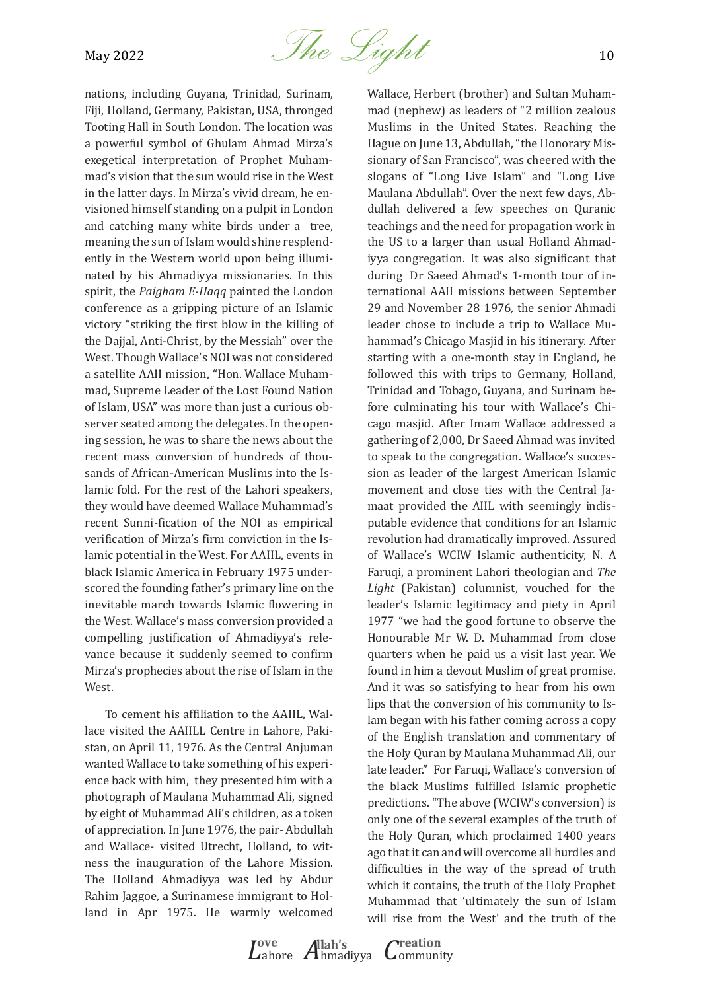

nations, including Guyana, Trinidad, Surinam, Fiji, Holland, Germany, Pakistan, USA, thronged Tooting Hall in South London. The location was a powerful symbol of Ghulam Ahmad Mirza's exegetical interpretation of Prophet Muhammad's vision that the sun would rise in the West in the latter days. In Mirza's vivid dream, he envisioned himself standing on a pulpit in London and catching many white birds under a tree, meaning the sun of Islam would shine resplendently in the Western world upon being illuminated by his Ahmadiyya missionaries. In this spirit, the *Paigham E-Haqq* painted the London conference as a gripping picture of an Islamic victory "striking the first blow in the killing of the Dajjal, Anti-Christ, by the Messiah" over the West. Though Wallace's NOI was not considered a satellite AAII mission, "Hon. Wallace Muhammad, Supreme Leader of the Lost Found Nation of Islam, USA" was more than just a curious observer seated among the delegates. In the opening session, he was to share the news about the recent mass conversion of hundreds of thousands of African-American Muslims into the Islamic fold. For the rest of the Lahori speakers, they would have deemed Wallace Muhammad's recent Sunni-fication of the NOI as empirical verification of Mirza's firm conviction in the Islamic potential in the West. For AAIIL, events in black Islamic America in February 1975 underscored the founding father's primary line on the inevitable march towards Islamic flowering in the West. Wallace's mass conversion provided a compelling justification of Ahmadiyya's relevance because it suddenly seemed to confirm Mirza's prophecies about the rise of Islam in the West.

To cement his affiliation to the AAIIL, Wallace visited the AAIILL Centre in Lahore, Pakistan, on April 11, 1976. As the Central Anjuman wanted Wallace to take something of his experience back with him, they presented him with a photograph of Maulana Muhammad Ali, signed by eight of Muhammad Ali's children, as a token of appreciation. In June 1976, the pair- Abdullah and Wallace- visited Utrecht, Holland, to witness the inauguration of the Lahore Mission. The Holland Ahmadiyya was led by Abdur Rahim Jaggoe, a Surinamese immigrant to Holland in Apr 1975. He warmly welcomed

Wallace, Herbert (brother) and Sultan Muhammad (nephew) as leaders of "2 million zealous Muslims in the United States. Reaching the Hague on June 13, Abdullah, "the Honorary Missionary of San Francisco", was cheered with the slogans of "Long Live Islam" and "Long Live Maulana Abdullah". Over the next few days, Abdullah delivered a few speeches on Quranic teachings and the need for propagation work in the US to a larger than usual Holland Ahmadiyya congregation. It was also significant that during Dr Saeed Ahmad's 1-month tour of international AAII missions between September 29 and November 28 1976, the senior Ahmadi leader chose to include a trip to Wallace Muhammad's Chicago Masjid in his itinerary. After starting with a one-month stay in England, he followed this with trips to Germany, Holland, Trinidad and Tobago, Guyana, and Surinam before culminating his tour with Wallace's Chicago masjid. After Imam Wallace addressed a gathering of 2,000, Dr Saeed Ahmad was invited to speak to the congregation. Wallace's succession as leader of the largest American Islamic movement and close ties with the Central Jamaat provided the AIIL with seemingly indisputable evidence that conditions for an Islamic revolution had dramatically improved. Assured of Wallace's WCIW Islamic authenticity, N. A Faruqi, a prominent Lahori theologian and *The Light* (Pakistan) columnist, vouched for the leader's Islamic legitimacy and piety in April 1977 "we had the good fortune to observe the Honourable Mr W. D. Muhammad from close quarters when he paid us a visit last year. We found in him a devout Muslim of great promise. And it was so satisfying to hear from his own lips that the conversion of his community to Islam began with his father coming across a copy of the English translation and commentary of the Holy Quran by Maulana Muhammad Ali, our late leader." For Faruqi, Wallace's conversion of the black Muslims fulfilled Islamic prophetic predictions. "The above (WCIW's conversion) is only one of the several examples of the truth of the Holy Quran, which proclaimed 1400 years ago that it can and will overcome all hurdles and difficulties in the way of the spread of truth which it contains, the truth of the Holy Prophet Muhammad that 'ultimately the sun of Islam will rise from the West' and the truth of the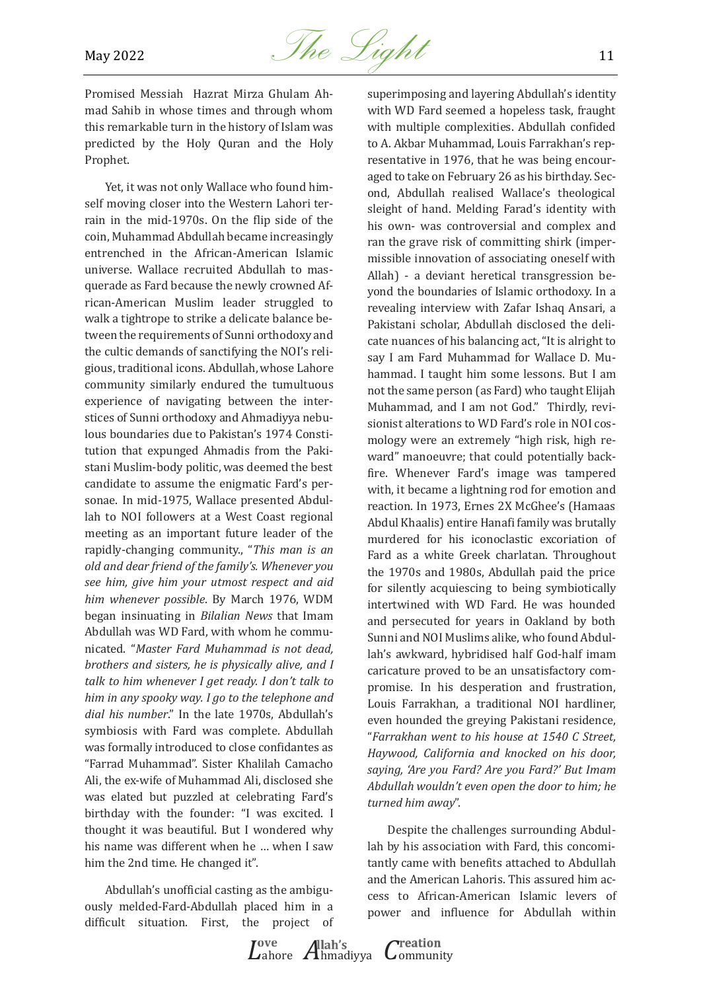

Promised Messiah Hazrat Mirza Ghulam Ahmad Sahib in whose times and through whom this remarkable turn in the history of Islam was predicted by the Holy Quran and the Holy Prophet.

Yet, it was not only Wallace who found himself moving closer into the Western Lahori terrain in the mid-1970s. On the flip side of the coin, Muhammad Abdullah became increasingly entrenched in the African-American Islamic universe. Wallace recruited Abdullah to masquerade as Fard because the newly crowned African-American Muslim leader struggled to walk a tightrope to strike a delicate balance between the requirements of Sunni orthodoxy and the cultic demands of sanctifying the NOI's religious, traditional icons. Abdullah, whose Lahore community similarly endured the tumultuous experience of navigating between the interstices of Sunni orthodoxy and Ahmadiyya nebulous boundaries due to Pakistan's 1974 Constitution that expunged Ahmadis from the Pakistani Muslim-body politic, was deemed the best candidate to assume the enigmatic Fard's personae. In mid-1975, Wallace presented Abdullah to NOI followers at a West Coast regional meeting as an important future leader of the rapidly-changing community., "*This man is an old and dear friend of the family's. Whenever you see him, give him your utmost respect and aid him whenever possible*. By March 1976, WDM began insinuating in *Bilalian News* that Imam Abdullah was WD Fard, with whom he communicated. "*Master Fard Muhammad is not dead, brothers and sisters, he is physically alive, and I talk to him whenever I get ready. I don't talk to him in any spooky way. I go to the telephone and dial his number*." In the late 1970s, Abdullah's symbiosis with Fard was complete. Abdullah was formally introduced to close confidantes as "Farrad Muhammad". Sister Khalilah Camacho Ali, the ex-wife of Muhammad Ali, disclosed she was elated but puzzled at celebrating Fard's birthday with the founder: "I was excited. I thought it was beautiful. But I wondered why his name was different when he … when I saw him the 2nd time. He changed it".

Abdullah's unofficial casting as the ambiguously melded-Fard-Abdullah placed him in a difficult situation. First, the project of superimposing and layering Abdullah's identity with WD Fard seemed a hopeless task, fraught with multiple complexities. Abdullah confided to A. Akbar Muhammad, Louis Farrakhan's representative in 1976, that he was being encouraged to take on February 26 as his birthday. Second, Abdullah realised Wallace's theological sleight of hand. Melding Farad's identity with his own- was controversial and complex and ran the grave risk of committing shirk (impermissible innovation of associating oneself with Allah) - a deviant heretical transgression beyond the boundaries of Islamic orthodoxy. In a revealing interview with Zafar Ishaq Ansari, a Pakistani scholar, Abdullah disclosed the delicate nuances of his balancing act, "It is alright to say I am Fard Muhammad for Wallace D. Muhammad. I taught him some lessons. But I am not the same person (as Fard) who taught Elijah Muhammad, and I am not God." Thirdly, revisionist alterations to WD Fard's role in NOI cosmology were an extremely "high risk, high reward" manoeuvre; that could potentially backfire. Whenever Fard's image was tampered with, it became a lightning rod for emotion and reaction. In 1973, Ernes 2X McGhee's (Hamaas Abdul Khaalis) entire Hanafi family was brutally murdered for his iconoclastic excoriation of Fard as a white Greek charlatan. Throughout the 1970s and 1980s, Abdullah paid the price for silently acquiescing to being symbiotically intertwined with WD Fard. He was hounded and persecuted for years in Oakland by both Sunni and NOI Muslims alike, who found Abdullah's awkward, hybridised half God-half imam caricature proved to be an unsatisfactory compromise. In his desperation and frustration, Louis Farrakhan, a traditional NOI hardliner, even hounded the greying Pakistani residence, "*Farrakhan went to his house at 1540 C Street, Haywood, California and knocked on his door, saying, 'Are you Fard? Are you Fard?' But Imam Abdullah wouldn't even open the door to him; he turned him away*".

Despite the challenges surrounding Abdullah by his association with Fard, this concomitantly came with benefits attached to Abdullah and the American Lahoris. This assured him access to African-American Islamic levers of power and influence for Abdullah within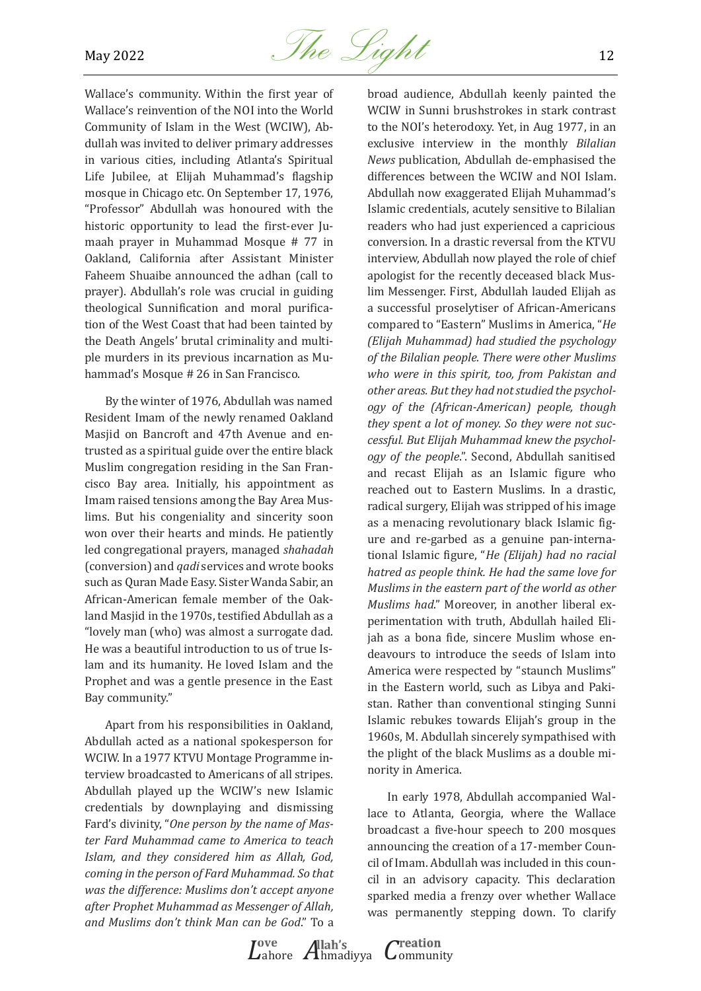

Wallace's community. Within the first year of Wallace's reinvention of the NOI into the World Community of Islam in the West (WCIW), Abdullah was invited to deliver primary addresses in various cities, including Atlanta's Spiritual Life Jubilee, at Elijah Muhammad's flagship mosque in Chicago etc. On September 17, 1976, "Professor" Abdullah was honoured with the historic opportunity to lead the first-ever Jumaah prayer in Muhammad Mosque # 77 in Oakland, California after Assistant Minister Faheem Shuaibe announced the adhan (call to prayer). Abdullah's role was crucial in guiding theological Sunnification and moral purification of the West Coast that had been tainted by the Death Angels' brutal criminality and multiple murders in its previous incarnation as Muhammad's Mosque # 26 in San Francisco.

By the winter of 1976, Abdullah was named Resident Imam of the newly renamed Oakland Masjid on Bancroft and 47th Avenue and entrusted as a spiritual guide over the entire black Muslim congregation residing in the San Francisco Bay area. Initially, his appointment as Imam raised tensions among the Bay Area Muslims. But his congeniality and sincerity soon won over their hearts and minds. He patiently led congregational prayers, managed *shahadah* (conversion) and *qadi* services and wrote books such as Quran Made Easy. Sister Wanda Sabir, an African-American female member of the Oakland Masjid in the 1970s, testified Abdullah as a "lovely man (who) was almost a surrogate dad. He was a beautiful introduction to us of true Islam and its humanity. He loved Islam and the Prophet and was a gentle presence in the East Bay community."

Apart from his responsibilities in Oakland, Abdullah acted as a national spokesperson for WCIW. In a 1977 KTVU Montage Programme interview broadcasted to Americans of all stripes. Abdullah played up the WCIW's new Islamic credentials by downplaying and dismissing Fard's divinity, "*One person by the name of Master Fard Muhammad came to America to teach Islam, and they considered him as Allah, God, coming in the person of Fard Muhammad. So that was the difference: Muslims don't accept anyone after Prophet Muhammad as Messenger of Allah, and Muslims don't think Man can be God*." To a broad audience, Abdullah keenly painted the WCIW in Sunni brushstrokes in stark contrast to the NOI's heterodoxy. Yet, in Aug 1977, in an exclusive interview in the monthly *Bilalian News* publication, Abdullah de-emphasised the differences between the WCIW and NOI Islam. Abdullah now exaggerated Elijah Muhammad's Islamic credentials, acutely sensitive to Bilalian readers who had just experienced a capricious conversion. In a drastic reversal from the KTVU interview, Abdullah now played the role of chief apologist for the recently deceased black Muslim Messenger. First, Abdullah lauded Elijah as a successful proselytiser of African-Americans compared to "Eastern" Muslims in America, "*He (Elijah Muhammad) had studied the psychology of the Bilalian people. There were other Muslims who were in this spirit, too, from Pakistan and other areas. But they had not studied the psychology of the (African-American) people, though they spent a lot of money. So they were not successful. But Elijah Muhammad knew the psychology of the people*.". Second, Abdullah sanitised and recast Elijah as an Islamic figure who reached out to Eastern Muslims. In a drastic, radical surgery, Elijah was stripped of his image as a menacing revolutionary black Islamic figure and re-garbed as a genuine pan-international Islamic figure, "*He (Elijah) had no racial hatred as people think. He had the same love for Muslims in the eastern part of the world as other Muslims had*." Moreover, in another liberal experimentation with truth, Abdullah hailed Elijah as a bona fide, sincere Muslim whose endeavours to introduce the seeds of Islam into America were respected by "staunch Muslims" in the Eastern world, such as Libya and Pakistan. Rather than conventional stinging Sunni Islamic rebukes towards Elijah's group in the 1960s, M. Abdullah sincerely sympathised with the plight of the black Muslims as a double minority in America.

In early 1978, Abdullah accompanied Wallace to Atlanta, Georgia, where the Wallace broadcast a five-hour speech to 200 mosques announcing the creation of a 17-member Council of Imam. Abdullah was included in this council in an advisory capacity. This declaration sparked media a frenzy over whether Wallace was permanently stepping down. To clarify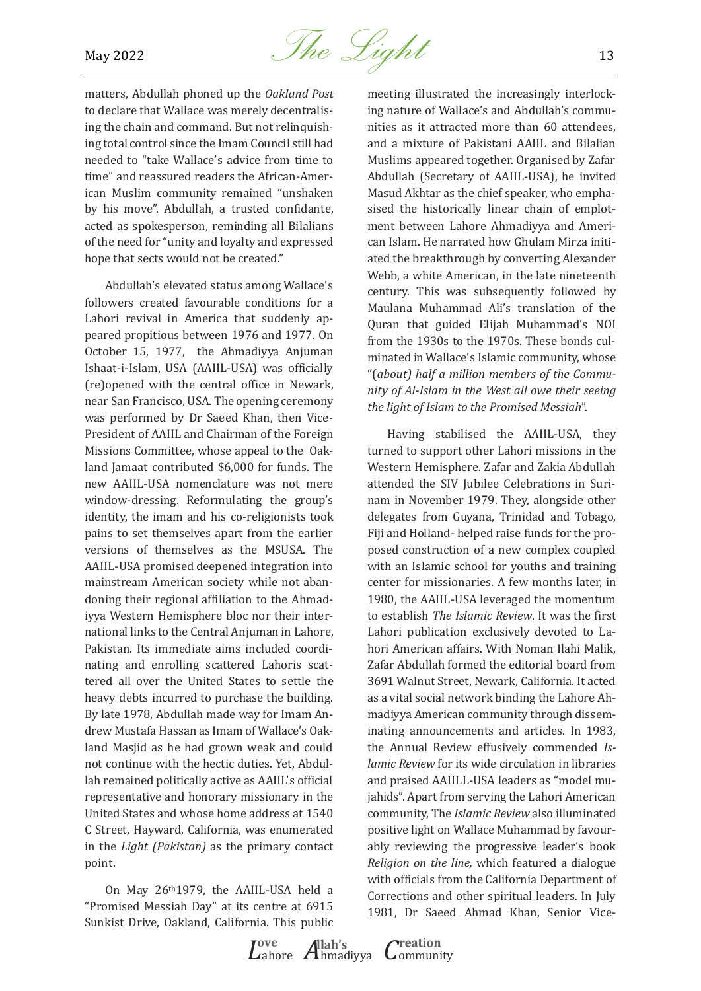

matters, Abdullah phoned up the *Oakland Post* to declare that Wallace was merely decentralising the chain and command. But not relinquishing total control since the Imam Council still had needed to "take Wallace's advice from time to time" and reassured readers the African-American Muslim community remained "unshaken by his move". Abdullah, a trusted confidante, acted as spokesperson, reminding all Bilalians of the need for "unity and loyalty and expressed hope that sects would not be created."

Abdullah's elevated status among Wallace's followers created favourable conditions for a Lahori revival in America that suddenly appeared propitious between 1976 and 1977. On October 15, 1977, the Ahmadiyya Anjuman Ishaat-i-Islam, USA (AAIIL-USA) was officially (re)opened with the central office in Newark, near San Francisco, USA. The opening ceremony was performed by Dr Saeed Khan, then Vice-President of AAIIL and Chairman of the Foreign Missions Committee, whose appeal to the Oakland Jamaat contributed \$6,000 for funds. The new AAIIL-USA nomenclature was not mere window-dressing. Reformulating the group's identity, the imam and his co-religionists took pains to set themselves apart from the earlier versions of themselves as the MSUSA. The AAIIL-USA promised deepened integration into mainstream American society while not abandoning their regional affiliation to the Ahmadiyya Western Hemisphere bloc nor their international links to the Central Anjuman in Lahore, Pakistan. Its immediate aims included coordinating and enrolling scattered Lahoris scattered all over the United States to settle the heavy debts incurred to purchase the building. By late 1978, Abdullah made way for Imam Andrew Mustafa Hassan as Imam of Wallace's Oakland Masjid as he had grown weak and could not continue with the hectic duties. Yet, Abdullah remained politically active as AAIIL's official representative and honorary missionary in the United States and whose home address at 1540 C Street, Hayward, California, was enumerated in the *Light (Pakistan)* as the primary contact point.

On May 26th1979, the AAIIL-USA held a "Promised Messiah Day" at its centre at 6915 Sunkist Drive, Oakland, California. This public

meeting illustrated the increasingly interlocking nature of Wallace's and Abdullah's communities as it attracted more than 60 attendees, and a mixture of Pakistani AAIIL and Bilalian Muslims appeared together. Organised by Zafar Abdullah (Secretary of AAIIL-USA), he invited Masud Akhtar as the chief speaker, who emphasised the historically linear chain of emplotment between Lahore Ahmadiyya and American Islam. He narrated how Ghulam Mirza initiated the breakthrough by converting Alexander Webb, a white American, in the late nineteenth century. This was subsequently followed by Maulana Muhammad Ali's translation of the Quran that guided Elijah Muhammad's NOI from the 1930s to the 1970s. These bonds culminated in Wallace's Islamic community, whose "(*about) half a million members of the Community of Al-Islam in the West all owe their seeing the light of Islam to the Promised Messiah*".

Having stabilised the AAIIL-USA, they turned to support other Lahori missions in the Western Hemisphere. Zafar and Zakia Abdullah attended the SIV Jubilee Celebrations in Surinam in November 1979. They, alongside other delegates from Guyana, Trinidad and Tobago, Fiji and Holland- helped raise funds for the proposed construction of a new complex coupled with an Islamic school for youths and training center for missionaries. A few months later, in 1980, the AAIIL-USA leveraged the momentum to establish *The Islamic Review*. It was the first Lahori publication exclusively devoted to Lahori American affairs. With Noman Ilahi Malik, Zafar Abdullah formed the editorial board from 3691 Walnut Street, Newark, California. It acted as a vital social network binding the Lahore Ahmadiyya American community through disseminating announcements and articles. In 1983, the Annual Review effusively commended *Islamic Review* for its wide circulation in libraries and praised AAIILL-USA leaders as "model mujahids". Apart from serving the Lahori American community, The *Islamic Review* also illuminated positive light on Wallace Muhammad by favourably reviewing the progressive leader's book *Religion on the line,* which featured a dialogue with officials from the California Department of Corrections and other spiritual leaders. In July 1981, Dr Saeed Ahmad Khan, Senior Vice-

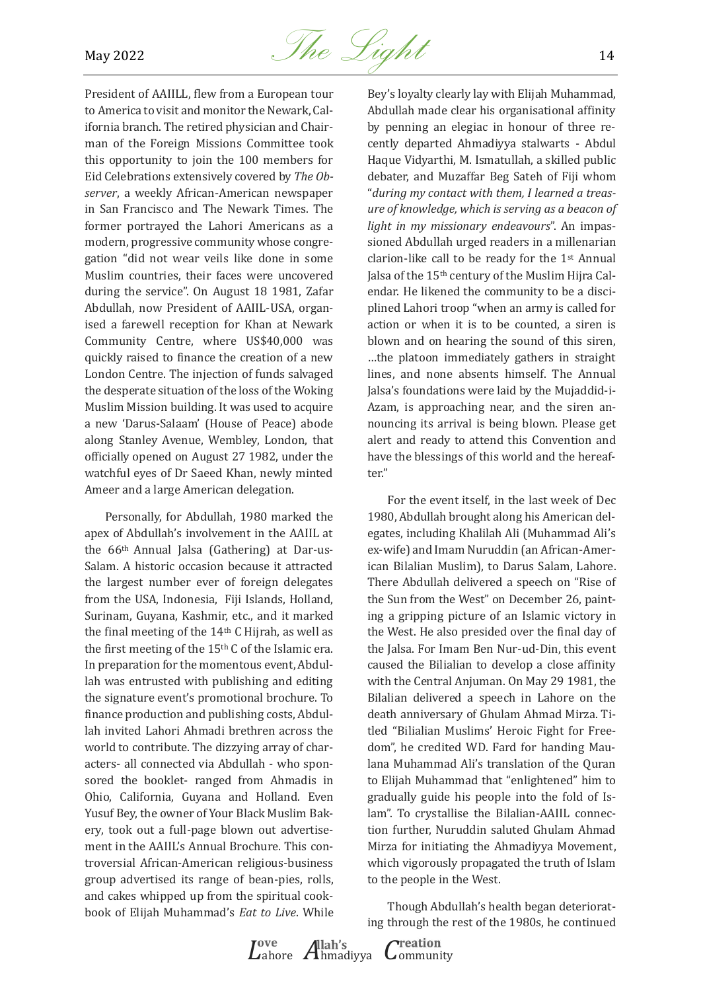

President of AAIILL, flew from a European tour to America to visit and monitor the Newark, California branch. The retired physician and Chairman of the Foreign Missions Committee took this opportunity to join the 100 members for Eid Celebrations extensively covered by *The Observer*, a weekly African-American newspaper in San Francisco and The Newark Times. The former portrayed the Lahori Americans as a modern, progressive community whose congregation "did not wear veils like done in some Muslim countries, their faces were uncovered during the service". On August 18 1981, Zafar Abdullah, now President of AAIIL-USA, organised a farewell reception for Khan at Newark Community Centre, where US\$40,000 was quickly raised to finance the creation of a new London Centre. The injection of funds salvaged the desperate situation of the loss of the Woking Muslim Mission building. It was used to acquire a new 'Darus-Salaam' (House of Peace) abode along Stanley Avenue, Wembley, London, that officially opened on August 27 1982, under the watchful eyes of Dr Saeed Khan, newly minted Ameer and a large American delegation.

Personally, for Abdullah, 1980 marked the apex of Abdullah's involvement in the AAIIL at the 66th Annual Jalsa (Gathering) at Dar-us-Salam. A historic occasion because it attracted the largest number ever of foreign delegates from the USA, Indonesia, Fiji Islands, Holland, Surinam, Guyana, Kashmir, etc., and it marked the final meeting of the 14th C Hijrah, as well as the first meeting of the 15th C of the Islamic era. In preparation for the momentous event, Abdullah was entrusted with publishing and editing the signature event's promotional brochure. To finance production and publishing costs, Abdullah invited Lahori Ahmadi brethren across the world to contribute. The dizzying array of characters- all connected via Abdullah - who sponsored the booklet- ranged from Ahmadis in Ohio, California, Guyana and Holland. Even Yusuf Bey, the owner of Your Black Muslim Bakery, took out a full-page blown out advertisement in the AAIIL's Annual Brochure. This controversial African-American religious-business group advertised its range of bean-pies, rolls, and cakes whipped up from the spiritual cookbook of Elijah Muhammad's *Eat to Live*. While

Bey's loyalty clearly lay with Elijah Muhammad, Abdullah made clear his organisational affinity by penning an elegiac in honour of three recently departed Ahmadiyya stalwarts - Abdul Haque Vidyarthi, M. Ismatullah, a skilled public debater, and Muzaffar Beg Sateh of Fiji whom "*during my contact with them, I learned a treasure of knowledge, which is serving as a beacon of light in my missionary endeavours*". An impassioned Abdullah urged readers in a millenarian clarion-like call to be ready for the 1st Annual Jalsa of the 15th century of the Muslim Hijra Calendar. He likened the community to be a disciplined Lahori troop "when an army is called for action or when it is to be counted, a siren is blown and on hearing the sound of this siren, …the platoon immediately gathers in straight lines, and none absents himself. The Annual Jalsa's foundations were laid by the Mujaddid-i-Azam, is approaching near, and the siren announcing its arrival is being blown. Please get alert and ready to attend this Convention and have the blessings of this world and the hereafter."

For the event itself, in the last week of Dec 1980, Abdullah brought along his American delegates, including Khalilah Ali (Muhammad Ali's ex-wife) and Imam Nuruddin (an African-American Bilalian Muslim), to Darus Salam, Lahore. There Abdullah delivered a speech on "Rise of the Sun from the West" on December 26, painting a gripping picture of an Islamic victory in the West. He also presided over the final day of the Jalsa. For Imam Ben Nur-ud-Din, this event caused the Bilialian to develop a close affinity with the Central Anjuman. On May 29 1981, the Bilalian delivered a speech in Lahore on the death anniversary of Ghulam Ahmad Mirza. Titled "Bilialian Muslims' Heroic Fight for Freedom", he credited WD. Fard for handing Maulana Muhammad Ali's translation of the Quran to Elijah Muhammad that "enlightened" him to gradually guide his people into the fold of Islam". To crystallise the Bilalian-AAIIL connection further, Nuruddin saluted Ghulam Ahmad Mirza for initiating the Ahmadiyya Movement, which vigorously propagated the truth of Islam to the people in the West.

Though Abdullah's health began deteriorating through the rest of the 1980s, he continued

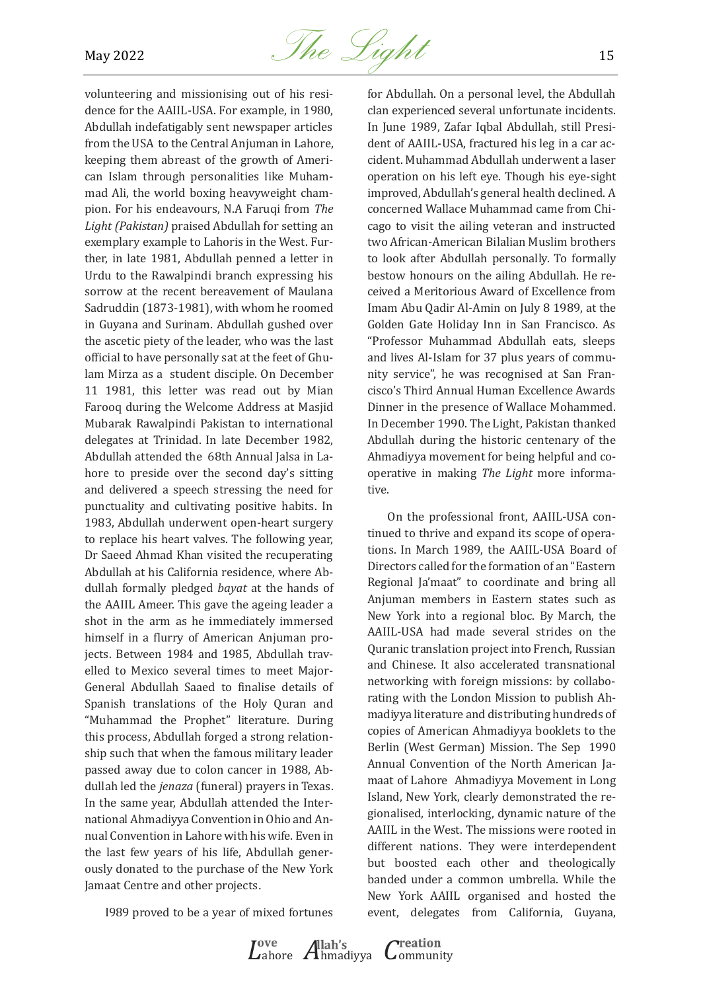

volunteering and missionising out of his residence for the AAIIL-USA. For example, in 1980, Abdullah indefatigably sent newspaper articles from the USA to the Central Anjuman in Lahore, keeping them abreast of the growth of American Islam through personalities like Muhammad Ali, the world boxing heavyweight champion. For his endeavours, N.A Faruqi from *The Light (Pakistan)* praised Abdullah for setting an exemplary example to Lahoris in the West. Further, in late 1981, Abdullah penned a letter in Urdu to the Rawalpindi branch expressing his sorrow at the recent bereavement of Maulana Sadruddin (1873-1981), with whom he roomed in Guyana and Surinam. Abdullah gushed over the ascetic piety of the leader, who was the last official to have personally sat at the feet of Ghulam Mirza as a student disciple. On December 11 1981, this letter was read out by Mian Farooq during the Welcome Address at Masjid Mubarak Rawalpindi Pakistan to international delegates at Trinidad. In late December 1982, Abdullah attended the 68th Annual Jalsa in Lahore to preside over the second day's sitting and delivered a speech stressing the need for punctuality and cultivating positive habits. In 1983, Abdullah underwent open-heart surgery to replace his heart valves. The following year, Dr Saeed Ahmad Khan visited the recuperating Abdullah at his California residence, where Abdullah formally pledged *bayat* at the hands of the AAIIL Ameer. This gave the ageing leader a shot in the arm as he immediately immersed himself in a flurry of American Anjuman projects. Between 1984 and 1985, Abdullah travelled to Mexico several times to meet Major-General Abdullah Saaed to finalise details of Spanish translations of the Holy Quran and "Muhammad the Prophet" literature. During this process, Abdullah forged a strong relationship such that when the famous military leader passed away due to colon cancer in 1988, Abdullah led the *jenaza* (funeral) prayers in Texas. In the same year, Abdullah attended the International Ahmadiyya Convention in Ohio and Annual Convention in Lahore with his wife. Even in the last few years of his life, Abdullah generously donated to the purchase of the New York Jamaat Centre and other projects.

I989 proved to be a year of mixed fortunes

*L*ahore *A*hmadiyya *C*ommunity

for Abdullah. On a personal level, the Abdullah clan experienced several unfortunate incidents. In June 1989, Zafar Iqbal Abdullah, still President of AAIIL-USA, fractured his leg in a car accident. Muhammad Abdullah underwent a laser operation on his left eye. Though his eye-sight improved, Abdullah's general health declined. A concerned Wallace Muhammad came from Chicago to visit the ailing veteran and instructed two African-American Bilalian Muslim brothers to look after Abdullah personally. To formally bestow honours on the ailing Abdullah. He received a Meritorious Award of Excellence from Imam Abu Qadir Al-Amin on July 8 1989, at the Golden Gate Holiday Inn in San Francisco. As "Professor Muhammad Abdullah eats, sleeps and lives Al-Islam for 37 plus years of community service", he was recognised at San Francisco's Third Annual Human Excellence Awards Dinner in the presence of Wallace Mohammed. In December 1990. The Light, Pakistan thanked Abdullah during the historic centenary of the Ahmadiyya movement for being helpful and cooperative in making *The Light* more informative.

On the professional front, AAIIL-USA continued to thrive and expand its scope of operations. In March 1989, the AAIIL-USA Board of Directors called for the formation of an "Eastern Regional Ja'maat" to coordinate and bring all Anjuman members in Eastern states such as New York into a regional bloc. By March, the AAIIL-USA had made several strides on the Quranic translation project into French, Russian and Chinese. It also accelerated transnational networking with foreign missions: by collaborating with the London Mission to publish Ahmadiyya literature and distributing hundreds of copies of American Ahmadiyya booklets to the Berlin (West German) Mission. The Sep 1990 Annual Convention of the North American Jamaat of Lahore Ahmadiyya Movement in Long Island, New York, clearly demonstrated the regionalised, interlocking, dynamic nature of the AAIIL in the West. The missions were rooted in different nations. They were interdependent but boosted each other and theologically banded under a common umbrella. While the New York AAIIL organised and hosted the event, delegates from California, Guyana,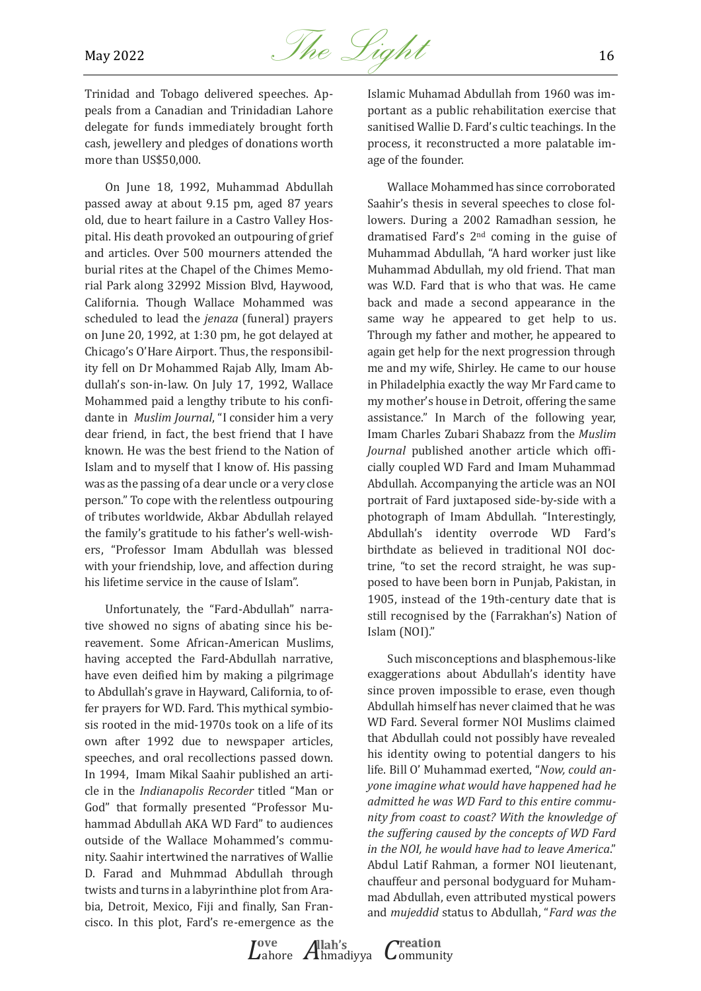

Trinidad and Tobago delivered speeches. Appeals from a Canadian and Trinidadian Lahore delegate for funds immediately brought forth cash, jewellery and pledges of donations worth more than US\$50,000.

On June 18, 1992, Muhammad Abdullah passed away at about 9.15 pm, aged 87 years old, due to heart failure in a Castro Valley Hospital. His death provoked an outpouring of grief and articles. Over 500 mourners attended the burial rites at the Chapel of the Chimes Memorial Park along 32992 Mission Blvd, Haywood, California. Though Wallace Mohammed was scheduled to lead the *jenaza* (funeral) prayers on June 20, 1992, at 1:30 pm, he got delayed at Chicago's O'Hare Airport. Thus, the responsibility fell on Dr Mohammed Rajab Ally, Imam Abdullah's son-in-law. On July 17, 1992, Wallace Mohammed paid a lengthy tribute to his confidante in *Muslim Journal*, "I consider him a very dear friend, in fact, the best friend that I have known. He was the best friend to the Nation of Islam and to myself that I know of. His passing was as the passing of a dear uncle or a very close person." To cope with the relentless outpouring of tributes worldwide, Akbar Abdullah relayed the family's gratitude to his father's well-wishers, "Professor Imam Abdullah was blessed with your friendship, love, and affection during his lifetime service in the cause of Islam".

Unfortunately, the "Fard-Abdullah" narrative showed no signs of abating since his bereavement. Some African-American Muslims, having accepted the Fard-Abdullah narrative, have even deified him by making a pilgrimage to Abdullah's grave in Hayward, California, to offer prayers for WD. Fard. This mythical symbiosis rooted in the mid-1970s took on a life of its own after 1992 due to newspaper articles, speeches, and oral recollections passed down. In 1994, Imam Mikal Saahir published an article in the *Indianapolis Recorder* titled "Man or God" that formally presented "Professor Muhammad Abdullah AKA WD Fard" to audiences outside of the Wallace Mohammed's community. Saahir intertwined the narratives of Wallie D. Farad and Muhmmad Abdullah through twists and turns in a labyrinthine plot from Arabia, Detroit, Mexico, Fiji and finally, San Francisco. In this plot, Fard's re-emergence as the

Islamic Muhamad Abdullah from 1960 was important as a public rehabilitation exercise that sanitised Wallie D. Fard's cultic teachings. In the process, it reconstructed a more palatable image of the founder.

Wallace Mohammed has since corroborated Saahir's thesis in several speeches to close followers. During a 2002 Ramadhan session, he dramatised Fard's 2nd coming in the guise of Muhammad Abdullah, "A hard worker just like Muhammad Abdullah, my old friend. That man was W.D. Fard that is who that was. He came back and made a second appearance in the same way he appeared to get help to us. Through my father and mother, he appeared to again get help for the next progression through me and my wife, Shirley. He came to our house in Philadelphia exactly the way Mr Fard came to my mother's house in Detroit, offering the same assistance." In March of the following year, Imam Charles Zubari Shabazz from the *Muslim Journal* published another article which officially coupled WD Fard and Imam Muhammad Abdullah. Accompanying the article was an NOI portrait of Fard juxtaposed side-by-side with a photograph of Imam Abdullah. "Interestingly, Abdullah's identity overrode WD Fard's birthdate as believed in traditional NOI doctrine, "to set the record straight, he was supposed to have been born in Punjab, Pakistan, in 1905, instead of the 19th-century date that is still recognised by the (Farrakhan's) Nation of Islam (NOI)."

Such misconceptions and blasphemous-like exaggerations about Abdullah's identity have since proven impossible to erase, even though Abdullah himself has never claimed that he was WD Fard. Several former NOI Muslims claimed that Abdullah could not possibly have revealed his identity owing to potential dangers to his life. Bill O' Muhammad exerted, "*Now, could anyone imagine what would have happened had he admitted he was WD Fard to this entire community from coast to coast? With the knowledge of the suffering caused by the concepts of WD Fard in the NOI, he would have had to leave America*." Abdul Latif Rahman, a former NOI lieutenant, chauffeur and personal bodyguard for Muhammad Abdullah, even attributed mystical powers and *mujeddid* status to Abdullah, "*Fard was the*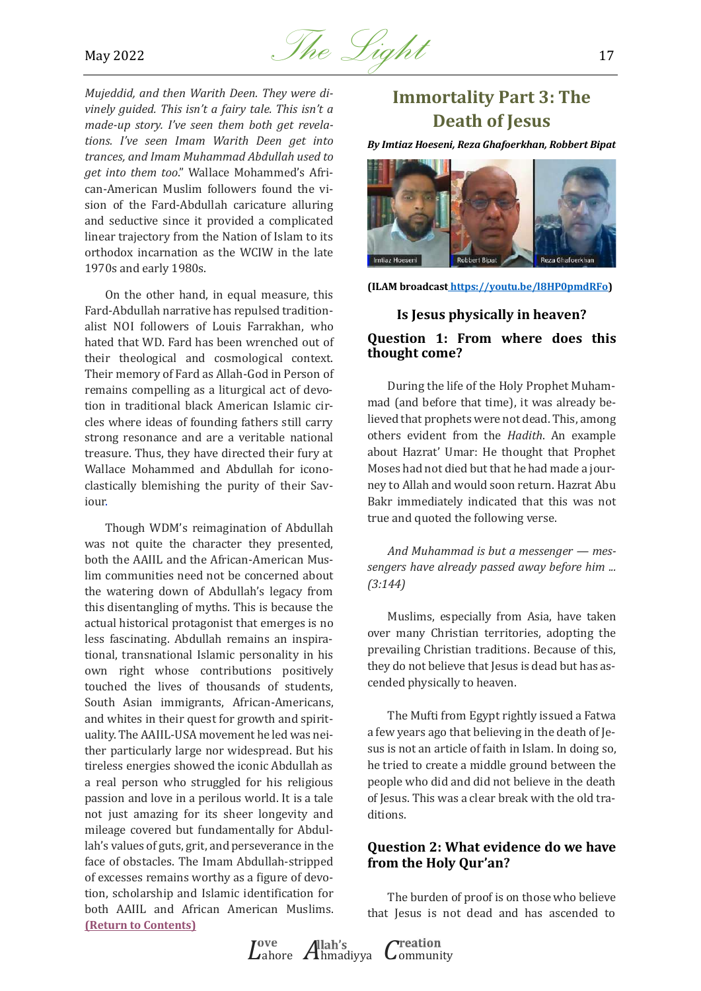

*Mujeddid, and then Warith Deen. They were divinely guided. This isn't a fairy tale. This isn't a made-up story. I've seen them both get revelations. I've seen Imam Warith Deen get into trances, and Imam Muhammad Abdullah used to get into them too*." Wallace Mohammed's African-American Muslim followers found the vision of the Fard-Abdullah caricature alluring and seductive since it provided a complicated linear trajectory from the Nation of Islam to its orthodox incarnation as the WCIW in the late 1970s and early 1980s.

On the other hand, in equal measure, this Fard-Abdullah narrative has repulsed traditionalist NOI followers of Louis Farrakhan, who hated that WD. Fard has been wrenched out of their theological and cosmological context. Their memory of Fard as Allah-God in Person of remains compelling as a liturgical act of devotion in traditional black American Islamic circles where ideas of founding fathers still carry strong resonance and are a veritable national treasure. Thus, they have directed their fury at Wallace Mohammed and Abdullah for iconoclastically blemishing the purity of their Saviour.

Though WDM's reimagination of Abdullah was not quite the character they presented, both the AAIIL and the African-American Muslim communities need not be concerned about the watering down of Abdullah's legacy from this disentangling of myths. This is because the actual historical protagonist that emerges is no less fascinating. Abdullah remains an inspirational, transnational Islamic personality in his own right whose contributions positively touched the lives of thousands of students, South Asian immigrants, African-Americans, and whites in their quest for growth and spirituality. The AAIIL-USA movement he led was neither particularly large nor widespread. But his tireless energies showed the iconic Abdullah as a real person who struggled for his religious passion and love in a perilous world. It is a tale not just amazing for its sheer longevity and mileage covered but fundamentally for Abdullah's values of guts, grit, and perseverance in the face of obstacles. The Imam Abdullah-stripped of excesses remains worthy as a figure of devotion, scholarship and Islamic identification for both AAIIL and African American Muslims. **[\(Return to Contents\)](#page-0-0)**

## <span id="page-16-0"></span>**Immortality Part 3: The Death of Jesus**

*By Imtiaz Hoeseni, Reza Ghafoerkhan, Robbert Bipat* 



**(ILAM broadcas[t https://youtu.be/l8HP0pmdRFo\)](https://youtu.be/l8HP0pmdRFo)** 

## **Is Jesus physically in heaven?**

#### **Question 1: From where does this thought come?**

During the life of the Holy Prophet Muhammad (and before that time), it was already believed that prophets were not dead. This, among others evident from the *Hadith*. An example about Hazrat' Umar: He thought that Prophet Moses had not died but that he had made a journey to Allah and would soon return. Hazrat Abu Bakr immediately indicated that this was not true and quoted the following verse.

*And Muhammad is but a messenger — messengers have already passed away before him ... (3:144)*

Muslims, especially from Asia, have taken over many Christian territories, adopting the prevailing Christian traditions. Because of this, they do not believe that Jesus is dead but has ascended physically to heaven.

The Mufti from Egypt rightly issued a Fatwa a few years ago that believing in the death of Jesus is not an article of faith in Islam. In doing so, he tried to create a middle ground between the people who did and did not believe in the death of Jesus. This was a clear break with the old traditions.

#### **Question 2: What evidence do we have from the Holy Qur'an?**

The burden of proof is on those who believe that Jesus is not dead and has ascended to

*L*ahore *A*hmadiyya *C*ommunity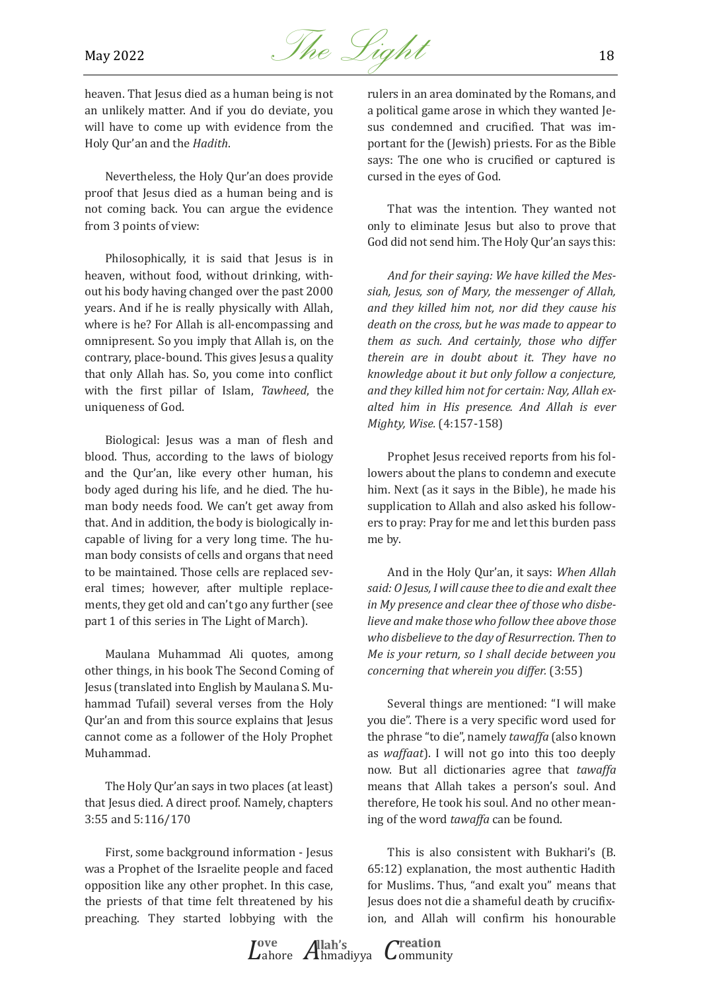

heaven. That Jesus died as a human being is not an unlikely matter. And if you do deviate, you will have to come up with evidence from the Holy Qur'an and the *Hadith*.

Nevertheless, the Holy Qur'an does provide proof that Jesus died as a human being and is not coming back. You can argue the evidence from 3 points of view:

Philosophically, it is said that Jesus is in heaven, without food, without drinking, without his body having changed over the past 2000 years. And if he is really physically with Allah, where is he? For Allah is all-encompassing and omnipresent. So you imply that Allah is, on the contrary, place-bound. This gives Jesus a quality that only Allah has. So, you come into conflict with the first pillar of Islam, *Tawheed*, the uniqueness of God.

Biological: Jesus was a man of flesh and blood. Thus, according to the laws of biology and the Qur'an, like every other human, his body aged during his life, and he died. The human body needs food. We can't get away from that. And in addition, the body is biologically incapable of living for a very long time. The human body consists of cells and organs that need to be maintained. Those cells are replaced several times; however, after multiple replacements, they get old and can't go any further (see part 1 of this series in The Light of March).

Maulana Muhammad Ali quotes, among other things, in his book The Second Coming of Jesus (translated into English by Maulana S. Muhammad Tufail) several verses from the Holy Qur'an and from this source explains that Jesus cannot come as a follower of the Holy Prophet Muhammad.

The Holy Qur'an says in two places (at least) that Jesus died. A direct proof. Namely, chapters 3:55 and 5:116/170

First, some background information - Jesus was a Prophet of the Israelite people and faced opposition like any other prophet. In this case, the priests of that time felt threatened by his preaching. They started lobbying with the

rulers in an area dominated by the Romans, and a political game arose in which they wanted Jesus condemned and crucified. That was important for the (Jewish) priests. For as the Bible says: The one who is crucified or captured is cursed in the eyes of God.

That was the intention. They wanted not only to eliminate Jesus but also to prove that God did not send him. The Holy Qur'an says this:

*And for their saying: We have killed the Messiah, Jesus, son of Mary, the messenger of Allah, and they killed him not, nor did they cause his death on the cross, but he was made to appear to them as such. And certainly, those who differ therein are in doubt about it. They have no knowledge about it but only follow a conjecture, and they killed him not for certain: Nay, Allah exalted him in His presence. And Allah is ever Mighty, Wise.* (4:157-158)

Prophet Jesus received reports from his followers about the plans to condemn and execute him. Next (as it says in the Bible), he made his supplication to Allah and also asked his followers to pray: Pray for me and let this burden pass me by.

And in the Holy Qur'an, it says: *When Allah said: O Jesus, I will cause thee to die and exalt thee in My presence and clear thee of those who disbelieve and make those who follow thee above those who disbelieve to the day of Resurrection. Then to Me is your return, so I shall decide between you concerning that wherein you differ.* (3:55)

Several things are mentioned: "I will make you die". There is a very specific word used for the phrase "to die", namely *tawaffa* (also known as *waffaat*). I will not go into this too deeply now. But all dictionaries agree that *tawaffa* means that Allah takes a person's soul. And therefore, He took his soul. And no other meaning of the word *tawaffa* can be found.

This is also consistent with Bukhari's (B. 65:12) explanation, the most authentic Hadith for Muslims. Thus, "and exalt you" means that Jesus does not die a shameful death by crucifixion, and Allah will confirm his honourable

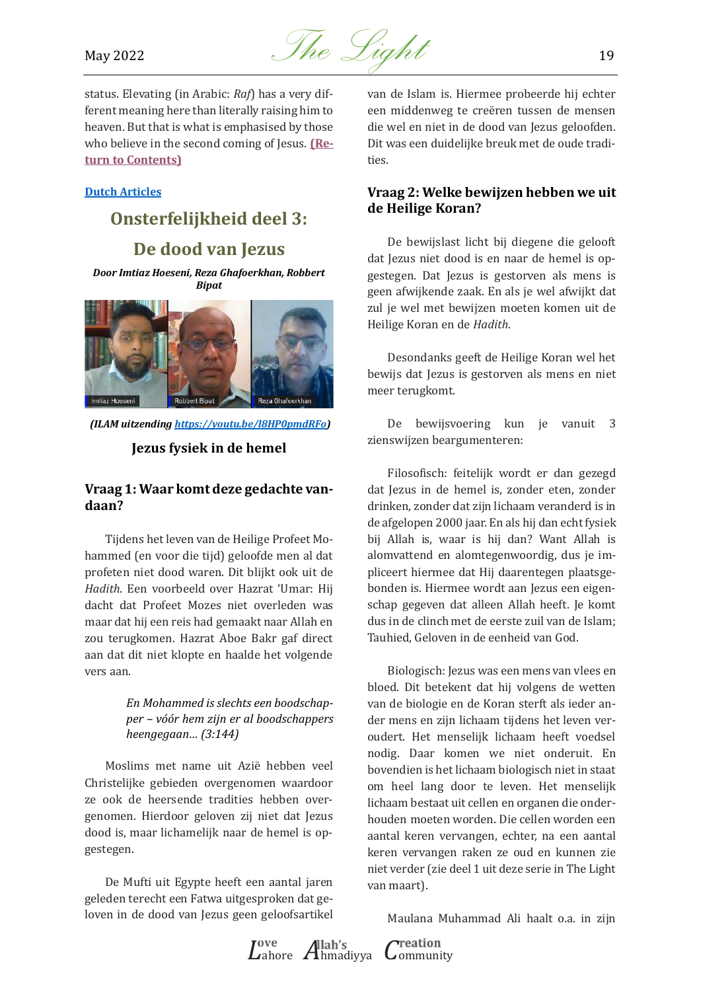

status. Elevating (in Arabic: *Raf*) has a very different meaning here than literally raising him to heaven. But that is what is emphasised by those who believe in the second coming of Jesus. **[\(Re](#page-0-0)[turn to Contents\)](#page-0-0)**

#### <span id="page-18-0"></span>**Dutch Articles**

## **Onsterfelijkheid deel 3: De dood van Jezus**

*Door Imtiaz Hoeseni, Reza Ghafoerkhan, Robbert Bipat* 



 *(ILAM uitzendin[g https://youtu.be/l8HP0pmdRFo\)](https://youtu.be/l8HP0pmdRFo)* 

**Jezus fysiek in de hemel** 

#### **Vraag 1: Waar komt deze gedachte vandaan?**

Tijdens het leven van de Heilige Profeet Mohammed (en voor die tijd) geloofde men al dat profeten niet dood waren. Dit blijkt ook uit de *Hadith*. Een voorbeeld over Hazrat 'Umar: Hij dacht dat Profeet Mozes niet overleden was maar dat hij een reis had gemaakt naar Allah en zou terugkomen. Hazrat Aboe Bakr gaf direct aan dat dit niet klopte en haalde het volgende vers aan.

> *En Mohammed is slechts een boodschapper – vóór hem zijn er al boodschappers heengegaan… (3:144)*

Moslims met name uit Azie hebben veel Christelijke gebieden overgenomen waardoor ze ook de heersende tradities hebben overgenomen. Hierdoor geloven zij niet dat Jezus dood is, maar lichamelijk naar de hemel is opgestegen.

De Mufti uit Egypte heeft een aantal jaren geleden terecht een Fatwa uitgesproken dat geloven in de dood van Jezus geen geloofsartikel

van de Islam is. Hiermee probeerde hij echter een middenweg te creëren tussen de mensen die wel en niet in de dood van Jezus geloofden. Dit was een duidelijke breuk met de oude tradities.

#### **Vraag 2: Welke bewijzen hebben we uit de Heilige Koran?**

De bewijslast licht bij diegene die gelooft dat Jezus niet dood is en naar de hemel is opgestegen. Dat Jezus is gestorven als mens is geen afwijkende zaak. En als je wel afwijkt dat zul je wel met bewijzen moeten komen uit de Heilige Koran en de *Hadith*.

Desondanks geeft de Heilige Koran wel het bewijs dat Jezus is gestorven als mens en niet meer terugkomt.

De bewijsvoering kun je vanuit 3 zienswijzen beargumenteren:

Filosofisch: feitelijk wordt er dan gezegd dat Jezus in de hemel is, zonder eten, zonder drinken, zonder dat zijn lichaam veranderd is in de afgelopen 2000 jaar. En als hij dan echt fysiek bij Allah is, waar is hij dan? Want Allah is alomvattend en alomtegenwoordig, dus je impliceert hiermee dat Hij daarentegen plaatsgebonden is. Hiermee wordt aan Jezus een eigenschap gegeven dat alleen Allah heeft. Je komt dus in de clinch met de eerste zuil van de Islam; Tauhied, Geloven in de eenheid van God.

Biologisch: Jezus was een mens van vlees en bloed. Dit betekent dat hij volgens de wetten van de biologie en de Koran sterft als ieder ander mens en zijn lichaam tijdens het leven veroudert. Het menselijk lichaam heeft voedsel nodig. Daar komen we niet onderuit. En bovendien is het lichaam biologisch niet in staat om heel lang door te leven. Het menselijk lichaam bestaat uit cellen en organen die onderhouden moeten worden. Die cellen worden een aantal keren vervangen, echter, na een aantal keren vervangen raken ze oud en kunnen zie niet verder (zie deel 1 uit deze serie in The Light van maart).

Maulana Muhammad Ali haalt o.a. in zijn

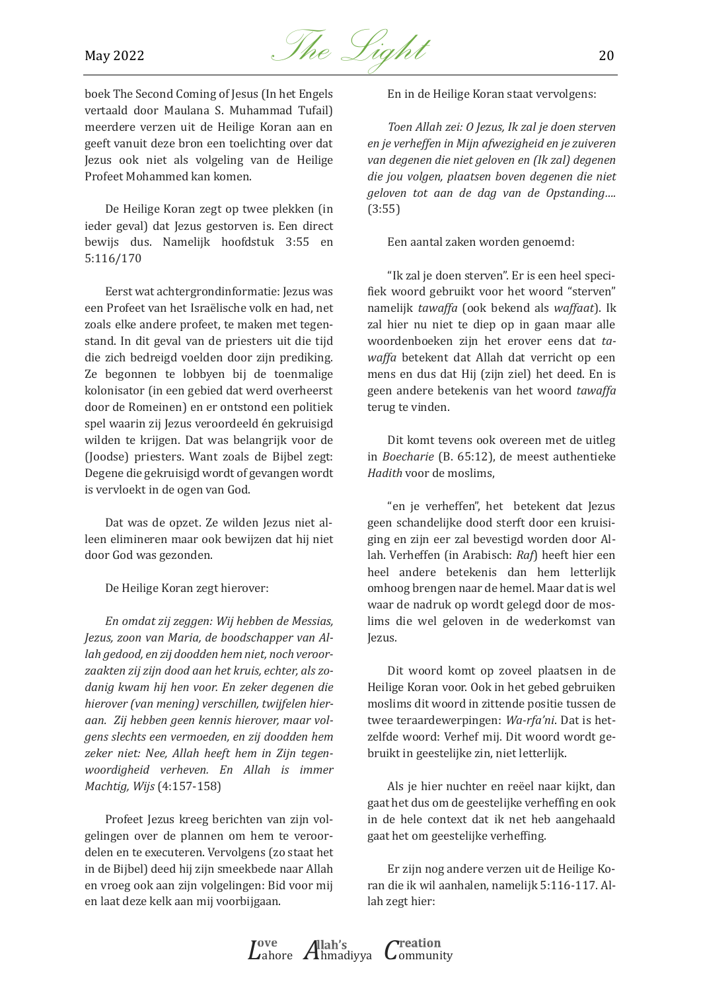

boek The Second Coming of Jesus (In het Engels vertaald door Maulana S. Muhammad Tufail) meerdere verzen uit de Heilige Koran aan en geeft vanuit deze bron een toelichting over dat Jezus ook niet als volgeling van de Heilige Profeet Mohammed kan komen.

De Heilige Koran zegt op twee plekken (in ieder geval) dat Jezus gestorven is. Een direct bewijs dus. Namelijk hoofdstuk 3:55 en 5:116/170

Eerst wat achtergrondinformatie: Jezus was een Profeet van het Israëlische volk en had, net zoals elke andere profeet, te maken met tegenstand. In dit geval van de priesters uit die tijd die zich bedreigd voelden door zijn prediking. Ze begonnen te lobbyen bij de toenmalige kolonisator (in een gebied dat werd overheerst door de Romeinen) en er ontstond een politiek spel waarin zij Jezus veroordeeld én gekruisigd wilden te krijgen. Dat was belangrijk voor de (Joodse) priesters. Want zoals de Bijbel zegt: Degene die gekruisigd wordt of gevangen wordt is vervloekt in de ogen van God.

Dat was de opzet. Ze wilden Jezus niet alleen elimineren maar ook bewijzen dat hij niet door God was gezonden.

De Heilige Koran zegt hierover:

*En omdat zij zeggen: Wij hebben de Messias, Jezus, zoon van Maria, de boodschapper van Allah gedood, en zij doodden hem niet, noch veroorzaakten zij zijn dood aan het kruis, echter, als zodanig kwam hij hen voor. En zeker degenen die hierover (van mening) verschillen, twijfelen hieraan. Zij hebben geen kennis hierover, maar volgens slechts een vermoeden, en zij doodden hem zeker niet: Nee, Allah heeft hem in Zijn tegenwoordigheid verheven. En Allah is immer Machtig, Wijs* (4:157-158)

Profeet Jezus kreeg berichten van zijn volgelingen over de plannen om hem te veroordelen en te executeren. Vervolgens (zo staat het in de Bijbel) deed hij zijn smeekbede naar Allah en vroeg ook aan zijn volgelingen: Bid voor mij en laat deze kelk aan mij voorbijgaan.

En in de Heilige Koran staat vervolgens:

*Toen Allah zei: O Jezus, Ik zal je doen sterven en je verheffen in Mijn afwezigheid en je zuiveren van degenen die niet geloven en (Ik zal) degenen die jou volgen, plaatsen boven degenen die niet geloven tot aan de dag van de Opstanding….*  (3:55)

Een aantal zaken worden genoemd:

"Ik zal je doen sterven". Er is een heel specifiek woord gebruikt voor het woord "sterven" namelijk *tawaffa* (ook bekend als *waffaat*). Ik zal hier nu niet te diep op in gaan maar alle woordenboeken zijn het erover eens dat *tawaffa* betekent dat Allah dat verricht op een mens en dus dat Hij (zijn ziel) het deed. En is geen andere betekenis van het woord *tawaffa*  terug te vinden.

Dit komt tevens ook overeen met de uitleg in *Boecharie* (B. 65:12), de meest authentieke *Hadith* voor de moslims,

"en je verheffen", het betekent dat Jezus geen schandelijke dood sterft door een kruisiging en zijn eer zal bevestigd worden door Allah. Verheffen (in Arabisch: *Raf*) heeft hier een heel andere betekenis dan hem letterlijk omhoog brengen naar de hemel. Maar dat is wel waar de nadruk op wordt gelegd door de moslims die wel geloven in de wederkomst van Jezus.

Dit woord komt op zoveel plaatsen in de Heilige Koran voor. Ook in het gebed gebruiken moslims dit woord in zittende positie tussen de twee teraardewerpingen: *Wa-rfa'ni*. Dat is hetzelfde woord: Verhef mij. Dit woord wordt gebruikt in geestelijke zin, niet letterlijk.

Als je hier nuchter en reëel naar kijkt, dan gaat het dus om de geestelijke verheffing en ook in de hele context dat ik net heb aangehaald gaat het om geestelijke verheffing.

Er zijn nog andere verzen uit de Heilige Koran die ik wil aanhalen, namelijk 5:116-117. Allah zegt hier:

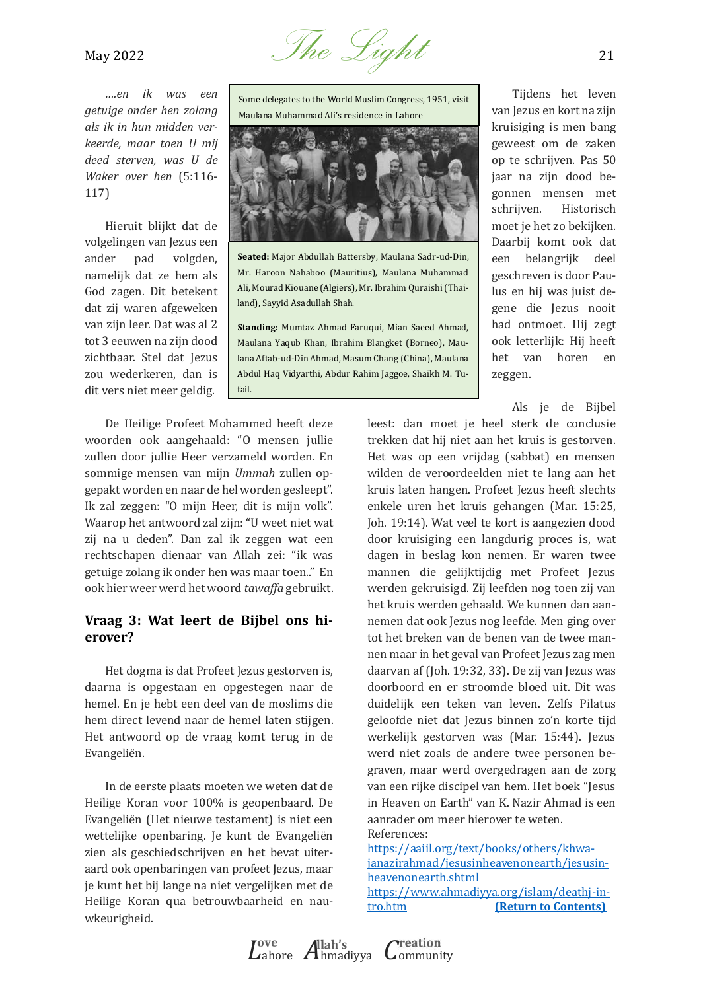

*….en ik was een getuige onder hen zolang als ik in hun midden verkeerde, maar toen U mij deed sterven, was U de Waker over hen* (5:116- 117)

Hieruit blijkt dat de volgelingen van Jezus een ander pad volgden, namelijk dat ze hem als God zagen. Dit betekent dat zij waren afgeweken van zijn leer. Dat was al 2 tot 3 eeuwen na zijn dood zichtbaar. Stel dat Jezus zou wederkeren, dan is dit vers niet meer geldig.

Some delegates to the World Muslim Congress, 1951, visit Maulana Muhammad Ali's residence in Lahore



**Seated:** Major Abdullah Battersby, Maulana Sadr-ud-Din, Mr. Haroon Nahaboo (Mauritius), Maulana Muhammad Ali, Mourad Kiouane (Algiers), Mr. Ibrahim Quraishi (Thailand), Sayyid Asadullah Shah.

**Standing:** Mumtaz Ahmad Faruqui, Mian Saeed Ahmad, Maulana Yaqub Khan, Ibrahim Blangket (Borneo), Maulana Aftab-ud-Din Ahmad, Masum Chang (China), Maulana Abdul Haq Vidyarthi, Abdur Rahim Jaggoe, Shaikh M. Tufail.

Tijdens het leven van Jezus en kort na zijn kruisiging is men bang geweest om de zaken op te schrijven. Pas 50 jaar na zijn dood begonnen mensen met schrijven. Historisch moet je het zo bekijken. Daarbij komt ook dat een belangrijk deel geschreven is door Paulus en hij was juist degene die Jezus nooit had ontmoet. Hij zegt ook letterlijk: Hij heeft het van horen en zeggen.

Als je de Bijbel

De Heilige Profeet Mohammed heeft deze woorden ook aangehaald: "O mensen jullie zullen door jullie Heer verzameld worden. En sommige mensen van mijn *Ummah* zullen opgepakt worden en naar de hel worden gesleept". Ik zal zeggen: "O mijn Heer, dit is mijn volk". Waarop het antwoord zal zijn: "U weet niet wat zij na u deden". Dan zal ik zeggen wat een rechtschapen dienaar van Allah zei: "ik was getuige zolang ik onder hen was maar toen.." En ook hier weer werd het woord *tawaffa* gebruikt.

#### **Vraag 3: Wat leert de Bijbel ons hierover?**

Het dogma is dat Profeet Jezus gestorven is, daarna is opgestaan en opgestegen naar de hemel. En je hebt een deel van de moslims die hem direct levend naar de hemel laten stijgen. Het antwoord op de vraag komt terug in de Evangeliën.

In de eerste plaats moeten we weten dat de Heilige Koran voor 100% is geopenbaard. De Evangeliën (Het nieuwe testament) is niet een wettelijke openbaring. Je kunt de Evangeliën zien als geschiedschrijven en het bevat uiteraard ook openbaringen van profeet Jezus, maar je kunt het bij lange na niet vergelijken met de Heilige Koran qua betrouwbaarheid en nauwkeurigheid.

leest: dan moet je heel sterk de conclusie trekken dat hij niet aan het kruis is gestorven. Het was op een vrijdag (sabbat) en mensen wilden de veroordeelden niet te lang aan het kruis laten hangen. Profeet Jezus heeft slechts enkele uren het kruis gehangen (Mar. 15:25, Joh. 19:14). Wat veel te kort is aangezien dood door kruisiging een langdurig proces is, wat dagen in beslag kon nemen. Er waren twee mannen die gelijktijdig met Profeet Jezus werden gekruisigd. Zij leefden nog toen zij van het kruis werden gehaald. We kunnen dan aannemen dat ook Jezus nog leefde. Men ging over tot het breken van de benen van de twee mannen maar in het geval van Profeet Jezus zag men daarvan af (Joh. 19:32, 33). De zij van Jezus was doorboord en er stroomde bloed uit. Dit was duidelijk een teken van leven. Zelfs Pilatus geloofde niet dat Jezus binnen zo'n korte tijd werkelijk gestorven was (Mar. 15:44). Jezus werd niet zoals de andere twee personen begraven, maar werd overgedragen aan de zorg van een rijke discipel van hem. Het boek "Jesus in Heaven on Earth" van K. Nazir Ahmad is een aanrader om meer hierover te weten. References:

[https://aaiil.org/text/books/others/khwa](https://aaiil.org/text/books/others/khwajanazirahmad/jesusinheavenonearth/jesusinheavenonearth.shtml)[janazirahmad/jesusinheavenonearth/jesusin](https://aaiil.org/text/books/others/khwajanazirahmad/jesusinheavenonearth/jesusinheavenonearth.shtml)[heavenonearth.shtml](https://aaiil.org/text/books/others/khwajanazirahmad/jesusinheavenonearth/jesusinheavenonearth.shtml) https://www.ahmadiyya.org/islam/deathj-in-<br>tro.htm (Return to Contents) **[\(Return to Contents\)](#page-0-0)**